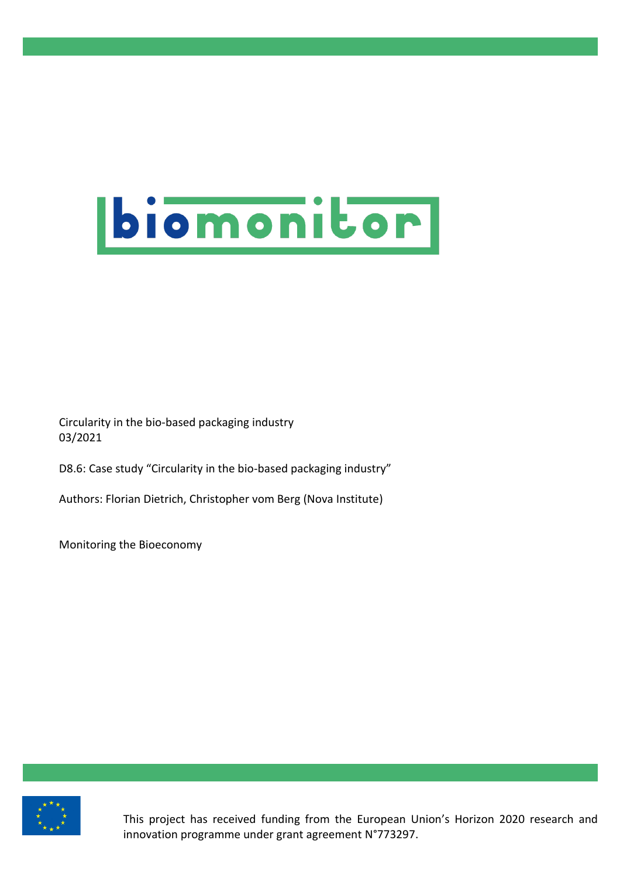

Circularity in the bio-based packaging industry 03/2021

D8.6: Case study "Circularity in the bio-based packaging industry"

Authors: Florian Dietrich, Christopher vom Berg (Nova Institute)

Monitoring the Bioeconomy



This project has received funding from the European Union's Horizon 2020 research and innovation programme under grant agreement N°773297.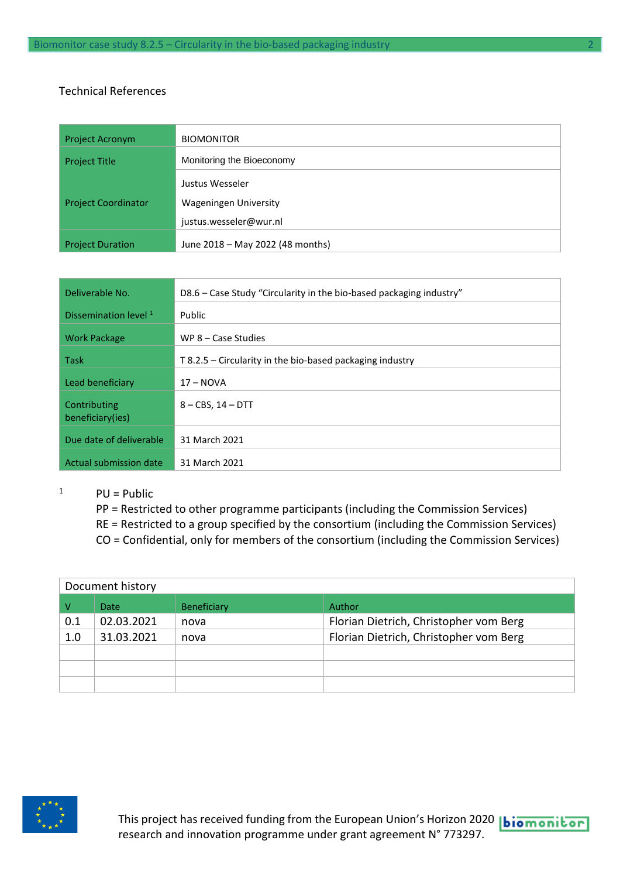#### Technical References

| <b>Project Acronym</b>     | <b>BIOMONITOR</b>                                                         |
|----------------------------|---------------------------------------------------------------------------|
| <b>Project Title</b>       | Monitoring the Bioeconomy                                                 |
| <b>Project Coordinator</b> | Justus Wesseler<br><b>Wageningen University</b><br>justus.wesseler@wur.nl |
| <b>Project Duration</b>    | June 2018 - May 2022 (48 months)                                          |

| Deliverable No.                  | D8.6 – Case Study "Circularity in the bio-based packaging industry" |
|----------------------------------|---------------------------------------------------------------------|
| Dissemination level <sup>1</sup> | Public                                                              |
| <b>Work Package</b>              | WP $8 - Case$ Studies                                               |
| <b>Task</b>                      | $T$ 8.2.5 – Circularity in the bio-based packaging industry         |
| Lead beneficiary                 | $17 - NOVA$                                                         |
| Contributing<br>beneficiary(ies) | $8 - CBS$ , $14 - DTT$                                              |
| Due date of deliverable          | 31 March 2021                                                       |
| Actual submission date           | 31 March 2021                                                       |

- 
- $1$  PU = Public
	- PP = Restricted to other programme participants (including the Commission Services)
	- RE = Restricted to a group specified by the consortium (including the Commission Services)
	- CO = Confidential, only for members of the consortium (including the Commission Services)

| Document history |             |                    |                                        |  |
|------------------|-------------|--------------------|----------------------------------------|--|
|                  | <b>Date</b> | <b>Beneficiary</b> | <b>Author</b>                          |  |
| 0.1              | 02.03.2021  | nova               | Florian Dietrich, Christopher vom Berg |  |
| 1.0              | 31.03.2021  | nova               | Florian Dietrich, Christopher vom Berg |  |
|                  |             |                    |                                        |  |
|                  |             |                    |                                        |  |
|                  |             |                    |                                        |  |

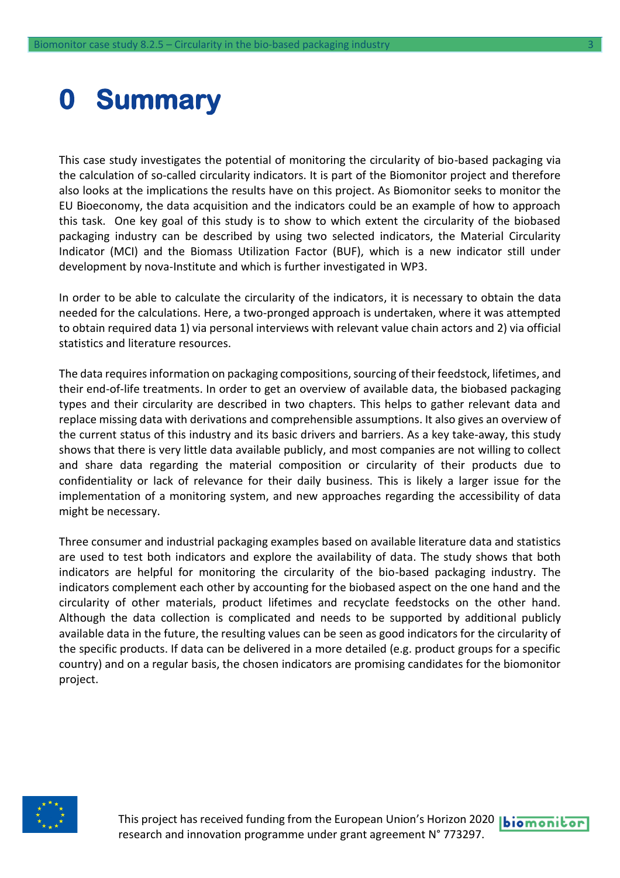## <span id="page-2-0"></span>**0 Summary**

This case study investigates the potential of monitoring the circularity of bio-based packaging via the calculation of so-called circularity indicators. It is part of the Biomonitor project and therefore also looks at the implications the results have on this project. As Biomonitor seeks to monitor the EU Bioeconomy, the data acquisition and the indicators could be an example of how to approach this task. One key goal of this study is to show to which extent the circularity of the biobased packaging industry can be described by using two selected indicators, the Material Circularity Indicator (MCI) and the Biomass Utilization Factor (BUF), which is a new indicator still under development by nova-Institute and which is further investigated in WP3.

In order to be able to calculate the circularity of the indicators, it is necessary to obtain the data needed for the calculations. Here, a two-pronged approach is undertaken, where it was attempted to obtain required data 1) via personal interviews with relevant value chain actors and 2) via official statistics and literature resources.

The data requires information on packaging compositions, sourcing of their feedstock, lifetimes, and their end-of-life treatments. In order to get an overview of available data, the biobased packaging types and their circularity are described in two chapters. This helps to gather relevant data and replace missing data with derivations and comprehensible assumptions. It also gives an overview of the current status of this industry and its basic drivers and barriers. As a key take-away, this study shows that there is very little data available publicly, and most companies are not willing to collect and share data regarding the material composition or circularity of their products due to confidentiality or lack of relevance for their daily business. This is likely a larger issue for the implementation of a monitoring system, and new approaches regarding the accessibility of data might be necessary.

Three consumer and industrial packaging examples based on available literature data and statistics are used to test both indicators and explore the availability of data. The study shows that both indicators are helpful for monitoring the circularity of the bio-based packaging industry. The indicators complement each other by accounting for the biobased aspect on the one hand and the circularity of other materials, product lifetimes and recyclate feedstocks on the other hand. Although the data collection is complicated and needs to be supported by additional publicly available data in the future, the resulting values can be seen as good indicators for the circularity of the specific products. If data can be delivered in a more detailed (e.g. product groups for a specific country) and on a regular basis, the chosen indicators are promising candidates for the biomonitor project.



This project has received funding from the European Union's Horizon 2020 |biomonitor research and innovation programme under grant agreement N° 773297.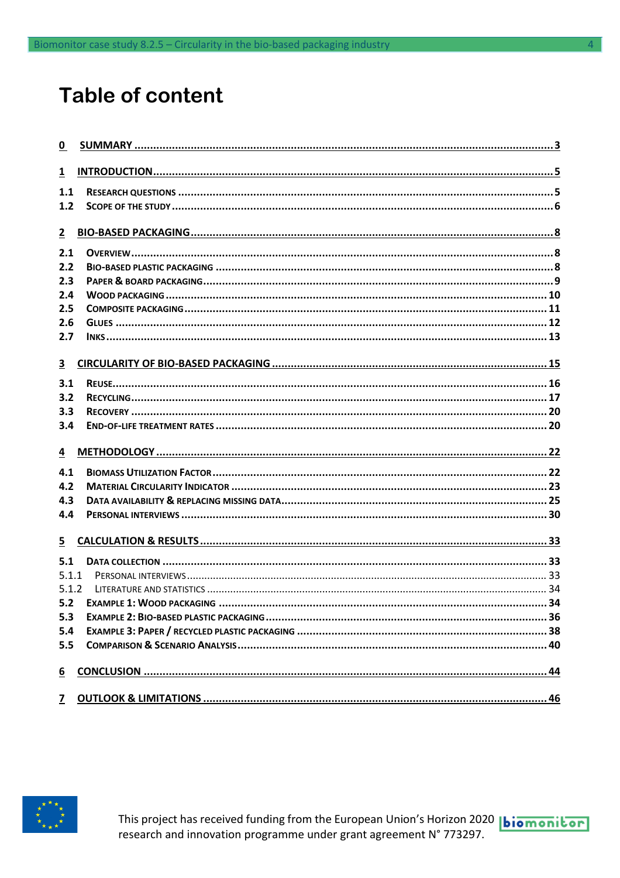### **Table of content**

| $\mathbf 0$             |  |
|-------------------------|--|
| $\mathbf{1}$            |  |
| 1.1                     |  |
| 1.2                     |  |
| $\mathbf{2}$            |  |
| 2.1                     |  |
| 2.2                     |  |
| 2.3                     |  |
| 2.4                     |  |
| 2.5                     |  |
| 2.6                     |  |
| 2.7                     |  |
| $\overline{\mathbf{3}}$ |  |
| 3.1                     |  |
| 3.2                     |  |
| 3.3                     |  |
| 3,4                     |  |
| $\overline{4}$          |  |
| 4.1                     |  |
| 4.2                     |  |
| 4.3                     |  |
| 4.4                     |  |
| $\overline{5}$          |  |
| 5.1                     |  |
| 5.1.1                   |  |
| 5.1.2                   |  |
| 5.2                     |  |
| 5.3                     |  |
| 5.4                     |  |
| 5.5                     |  |
| $6 \overline{6}$        |  |
| $\overline{z}$          |  |

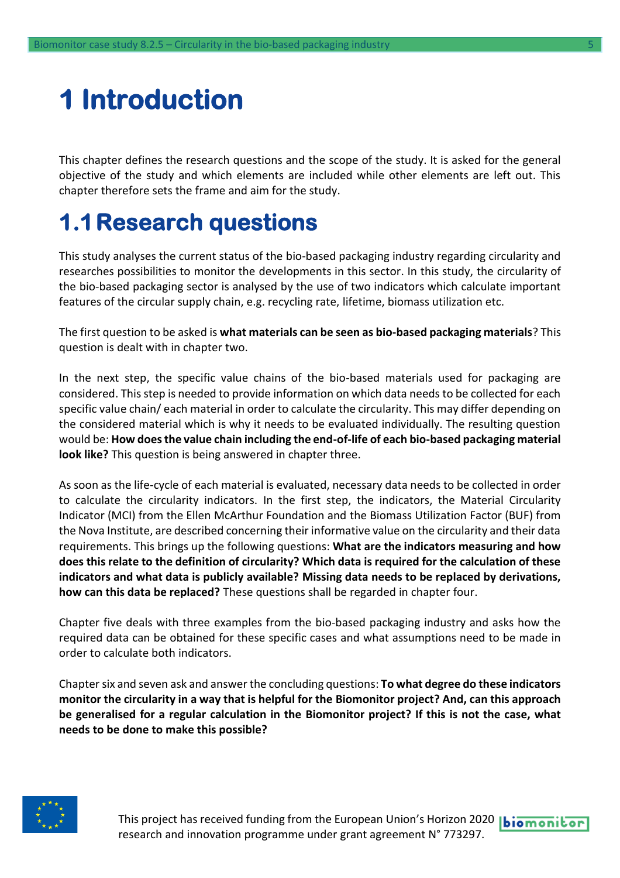## <span id="page-4-0"></span>**1 Introduction**

This chapter defines the research questions and the scope of the study. It is asked for the general objective of the study and which elements are included while other elements are left out. This chapter therefore sets the frame and aim for the study.

### <span id="page-4-1"></span>**1.1Research questions**

This study analyses the current status of the bio-based packaging industry regarding circularity and researches possibilities to monitor the developments in this sector. In this study, the circularity of the bio-based packaging sector is analysed by the use of two indicators which calculate important features of the circular supply chain, e.g. recycling rate, lifetime, biomass utilization etc.

The first question to be asked is **what materials can be seen as bio-based packaging materials**? This question is dealt with in chapter two.

In the next step, the specific value chains of the bio-based materials used for packaging are considered. This step is needed to provide information on which data needs to be collected for each specific value chain/ each material in order to calculate the circularity. This may differ depending on the considered material which is why it needs to be evaluated individually. The resulting question would be: **How does the value chain including the end-of-life of each bio-based packaging material look like?** This question is being answered in chapter three.

As soon as the life-cycle of each material is evaluated, necessary data needs to be collected in order to calculate the circularity indicators. In the first step, the indicators, the Material Circularity Indicator (MCI) from the Ellen McArthur Foundation and the Biomass Utilization Factor (BUF) from the Nova Institute, are described concerning their informative value on the circularity and their data requirements. This brings up the following questions: **What are the indicators measuring and how does this relate to the definition of circularity? Which data is required for the calculation of these indicators and what data is publicly available? Missing data needs to be replaced by derivations, how can this data be replaced?** These questions shall be regarded in chapter four.

Chapter five deals with three examples from the bio-based packaging industry and asks how the required data can be obtained for these specific cases and what assumptions need to be made in order to calculate both indicators.

Chapter six and seven ask and answer the concluding questions: **To what degree do these indicators monitor the circularity in a way that is helpful for the Biomonitor project? And, can this approach be generalised for a regular calculation in the Biomonitor project? If this is not the case, what needs to be done to make this possible?**

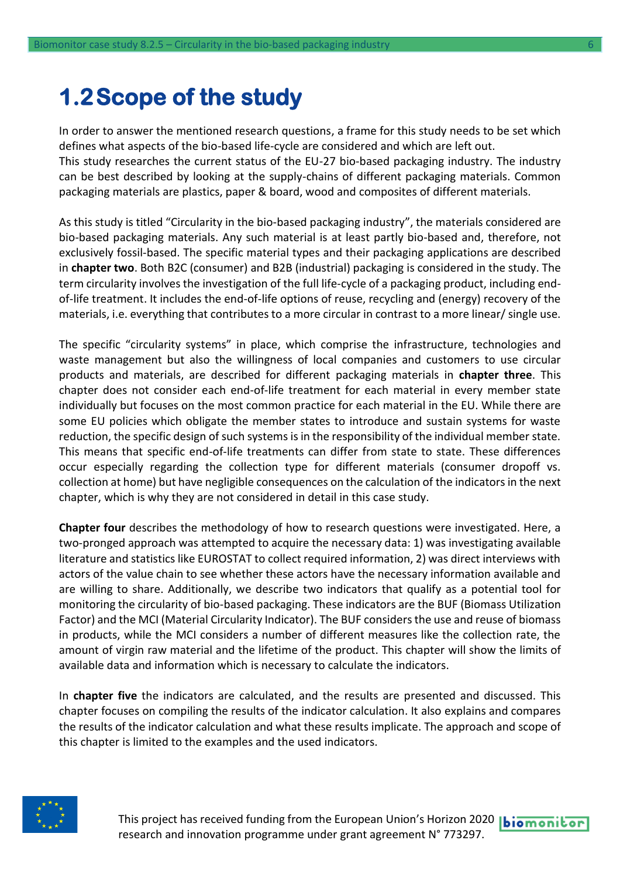### <span id="page-5-0"></span>**1.2Scope of the study**

In order to answer the mentioned research questions, a frame for this study needs to be set which defines what aspects of the bio-based life-cycle are considered and which are left out. This study researches the current status of the EU-27 bio-based packaging industry. The industry can be best described by looking at the supply-chains of different packaging materials. Common packaging materials are plastics, paper & board, wood and composites of different materials.

As this study is titled "Circularity in the bio-based packaging industry", the materials considered are bio-based packaging materials. Any such material is at least partly bio-based and, therefore, not exclusively fossil-based. The specific material types and their packaging applications are described in **chapter two**. Both B2C (consumer) and B2B (industrial) packaging is considered in the study. The term circularity involves the investigation of the full life-cycle of a packaging product, including endof-life treatment. It includes the end-of-life options of reuse, recycling and (energy) recovery of the materials, i.e. everything that contributes to a more circular in contrast to a more linear/ single use.

The specific "circularity systems" in place, which comprise the infrastructure, technologies and waste management but also the willingness of local companies and customers to use circular products and materials, are described for different packaging materials in **chapter three**. This chapter does not consider each end-of-life treatment for each material in every member state individually but focuses on the most common practice for each material in the EU. While there are some EU policies which obligate the member states to introduce and sustain systems for waste reduction, the specific design of such systems is in the responsibility of the individual member state. This means that specific end-of-life treatments can differ from state to state. These differences occur especially regarding the collection type for different materials (consumer dropoff vs. collection at home) but have negligible consequences on the calculation of the indicators in the next chapter, which is why they are not considered in detail in this case study.

**Chapter four** describes the methodology of how to research questions were investigated. Here, a two-pronged approach was attempted to acquire the necessary data: 1) was investigating available literature and statistics like EUROSTAT to collect required information, 2) was direct interviews with actors of the value chain to see whether these actors have the necessary information available and are willing to share. Additionally, we describe two indicators that qualify as a potential tool for monitoring the circularity of bio-based packaging. These indicators are the BUF (Biomass Utilization Factor) and the MCI (Material Circularity Indicator). The BUF considers the use and reuse of biomass in products, while the MCI considers a number of different measures like the collection rate, the amount of virgin raw material and the lifetime of the product. This chapter will show the limits of available data and information which is necessary to calculate the indicators.

In **chapter five** the indicators are calculated, and the results are presented and discussed. This chapter focuses on compiling the results of the indicator calculation. It also explains and compares the results of the indicator calculation and what these results implicate. The approach and scope of this chapter is limited to the examples and the used indicators.



This project has received funding from the European Union's Horizon 2020 | biomonitor research and innovation programme under grant agreement N° 773297.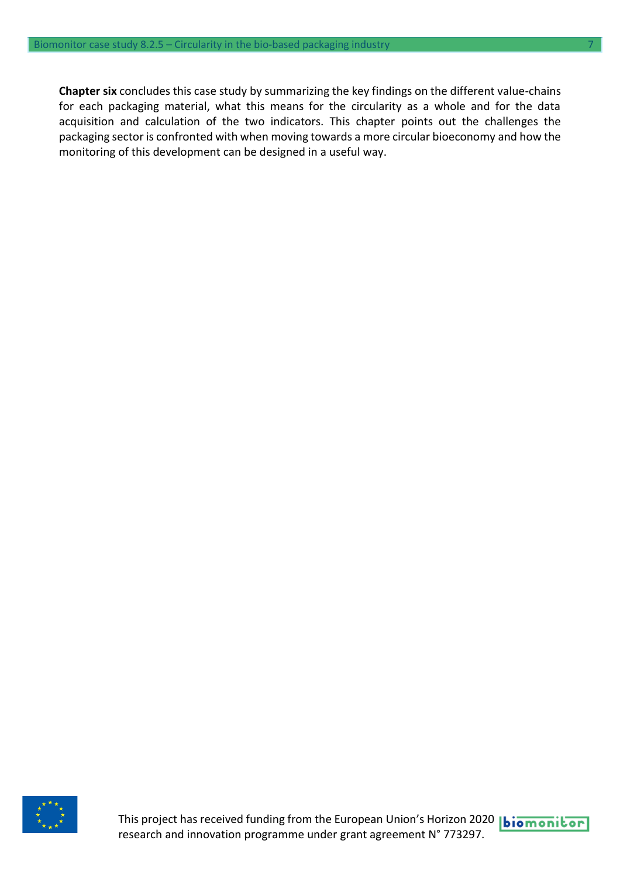**Chapter six** concludes this case study by summarizing the key findings on the different value-chains for each packaging material, what this means for the circularity as a whole and for the data acquisition and calculation of the two indicators. This chapter points out the challenges the packaging sector is confronted with when moving towards a more circular bioeconomy and how the monitoring of this development can be designed in a useful way.



This project has received funding from the European Union's Horizon 2020 **biomonitor** research and innovation programme under grant agreement N° 773297.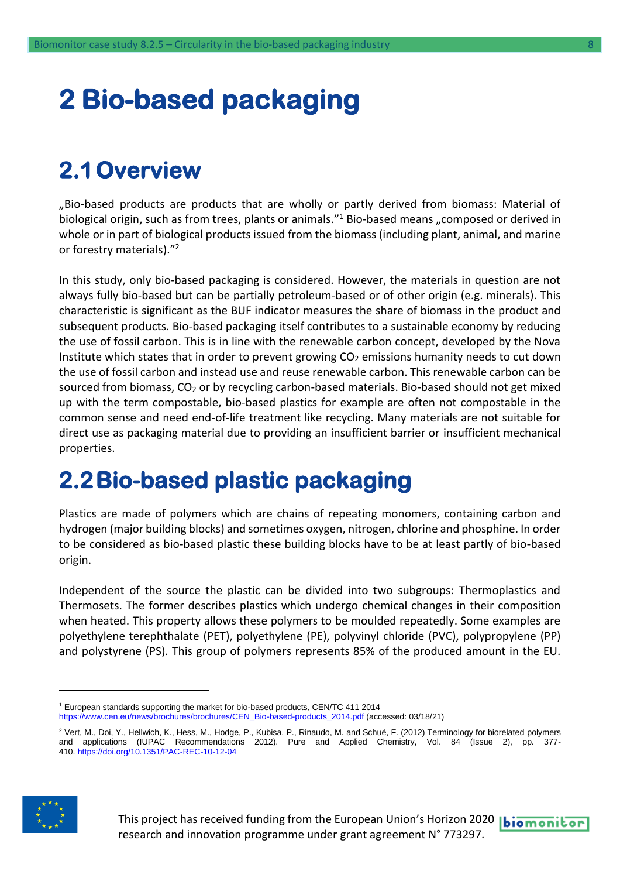## <span id="page-7-0"></span>**2 Bio-based packaging**

### <span id="page-7-1"></span>**2.1Overview**

"Bio-based products are products that are wholly or partly derived from biomass: Material of biological origin, such as from trees, plants or animals." <sup>1</sup> Bio-based means "composed or derived in whole or in part of biological products issued from the biomass (including plant, animal, and marine or forestry materials)." 2

In this study, only bio-based packaging is considered. However, the materials in question are not always fully bio-based but can be partially petroleum-based or of other origin (e.g. minerals). This characteristic is significant as the BUF indicator measures the share of biomass in the product and subsequent products. Bio-based packaging itself contributes to a sustainable economy by reducing the use of fossil carbon. This is in line with the renewable carbon concept, developed by the Nova Institute which states that in order to prevent growing CO<sub>2</sub> emissions humanity needs to cut down the use of fossil carbon and instead use and reuse renewable carbon. This renewable carbon can be sourced from biomass, CO<sub>2</sub> or by recycling carbon-based materials. Bio-based should not get mixed up with the term compostable, bio-based plastics for example are often not compostable in the common sense and need end-of-life treatment like recycling. Many materials are not suitable for direct use as packaging material due to providing an insufficient barrier or insufficient mechanical properties.

### <span id="page-7-2"></span>**2.2Bio-based plastic packaging**

Plastics are made of polymers which are chains of repeating monomers, containing carbon and hydrogen (major building blocks) and sometimes oxygen, nitrogen, chlorine and phosphine. In order to be considered as bio-based plastic these building blocks have to be at least partly of bio-based origin.

Independent of the source the plastic can be divided into two subgroups: Thermoplastics and Thermosets. The former describes plastics which undergo chemical changes in their composition when heated. This property allows these polymers to be moulded repeatedly. Some examples are polyethylene terephthalate (PET), polyethylene (PE), polyvinyl chloride (PVC), polypropylene (PP) and polystyrene (PS). This group of polymers represents 85% of the produced amount in the EU.

 $^2$  Vert, M., Doi, Y., Hellwich, K., Hess, M., Hodge, P., Kubisa, P., Rinaudo, M. and Schué, F. (2012) Terminology for biorelated polymers and applications (IUPAC Recommendations 2012). Pure and Applied Chemistry, Vol. 84 (Issue 2), pp. 377 410. <u><https://doi.org/10.1351/PAC-REC-10-12-04></u>



<sup>1</sup> European standards supporting the market for bio-based products, CEN/TC 411 2014 [https://www.cen.eu/news/brochures/brochures/CEN\\_Bio-based-products\\_2014.pdf](https://www.cen.eu/news/brochures/brochures/CEN_Bio-based-products_2014.pdf) (accessed: 03/18/21)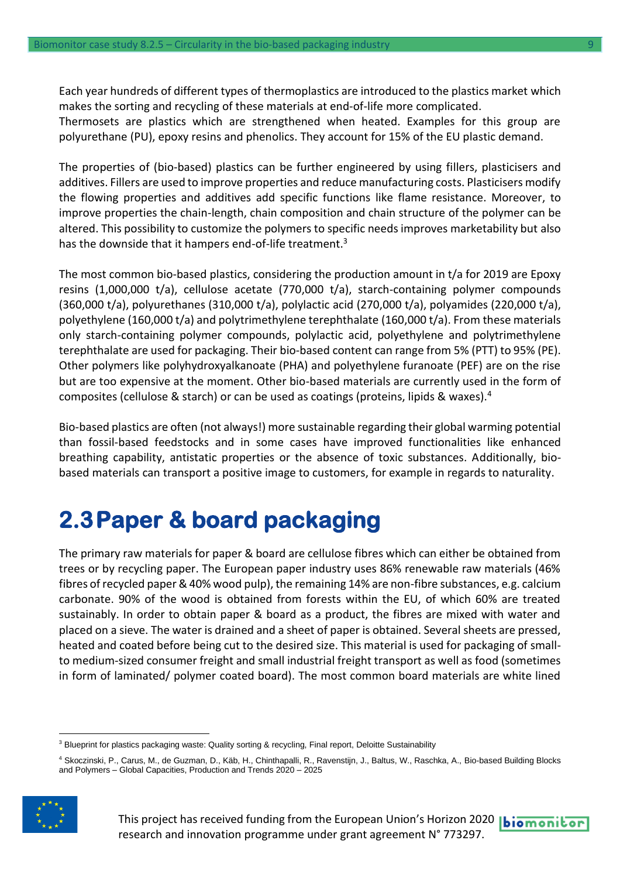Each year hundreds of different types of thermoplastics are introduced to the plastics market which makes the sorting and recycling of these materials at end-of-life more complicated. Thermosets are plastics which are strengthened when heated. Examples for this group are polyurethane (PU), epoxy resins and phenolics. They account for 15% of the EU plastic demand.

The properties of (bio-based) plastics can be further engineered by using fillers, plasticisers and additives. Fillers are used to improve properties and reduce manufacturing costs. Plasticisers modify the flowing properties and additives add specific functions like flame resistance. Moreover, to improve properties the chain-length, chain composition and chain structure of the polymer can be altered. This possibility to customize the polymers to specific needs improves marketability but also has the downside that it hampers end-of-life treatment.<sup>3</sup>

The most common bio-based plastics, considering the production amount in t/a for 2019 are Epoxy resins (1,000,000 t/a), cellulose acetate (770,000 t/a), starch-containing polymer compounds (360,000 t/a), polyurethanes (310,000 t/a), polylactic acid (270,000 t/a), polyamides (220,000 t/a), polyethylene (160,000 t/a) and polytrimethylene terephthalate (160,000 t/a). From these materials only starch-containing polymer compounds, polylactic acid, polyethylene and polytrimethylene terephthalate are used for packaging. Their bio-based content can range from 5% (PTT) to 95% (PE). Other polymers like polyhydroxyalkanoate (PHA) and polyethylene furanoate (PEF) are on the rise but are too expensive at the moment. Other bio-based materials are currently used in the form of composites (cellulose & starch) or can be used as coatings (proteins, lipids & waxes).<sup>4</sup>

Bio-based plastics are often (not always!) more sustainable regarding their global warming potential than fossil-based feedstocks and in some cases have improved functionalities like enhanced breathing capability, antistatic properties or the absence of toxic substances. Additionally, biobased materials can transport a positive image to customers, for example in regards to naturality.

### <span id="page-8-0"></span>**2.3Paper & board packaging**

The primary raw materials for paper & board are cellulose fibres which can either be obtained from trees or by recycling paper. The European paper industry uses 86% renewable raw materials (46% fibres of recycled paper & 40% wood pulp), the remaining 14% are non-fibre substances, e.g. calcium carbonate. 90% of the wood is obtained from forests within the EU, of which 60% are treated sustainably. In order to obtain paper & board as a product, the fibres are mixed with water and placed on a sieve. The water is drained and a sheet of paper is obtained. Several sheets are pressed, heated and coated before being cut to the desired size. This material is used for packaging of smallto medium-sized consumer freight and small industrial freight transport as well as food (sometimes in form of laminated/ polymer coated board). The most common board materials are white lined

<sup>4</sup> Skoczinski, P., Carus, M., de Guzman, D., Käb, H., Chinthapalli, R., Ravenstijn, J., Baltus, W., Raschka, A., Bio-based Building Blocks and Polymers – Global Capacities, Production and Trends 2020 – 2025



<sup>&</sup>lt;sup>3</sup> Blueprint for plastics packaging waste: Quality sorting & recycling, Final report, Deloitte Sustainability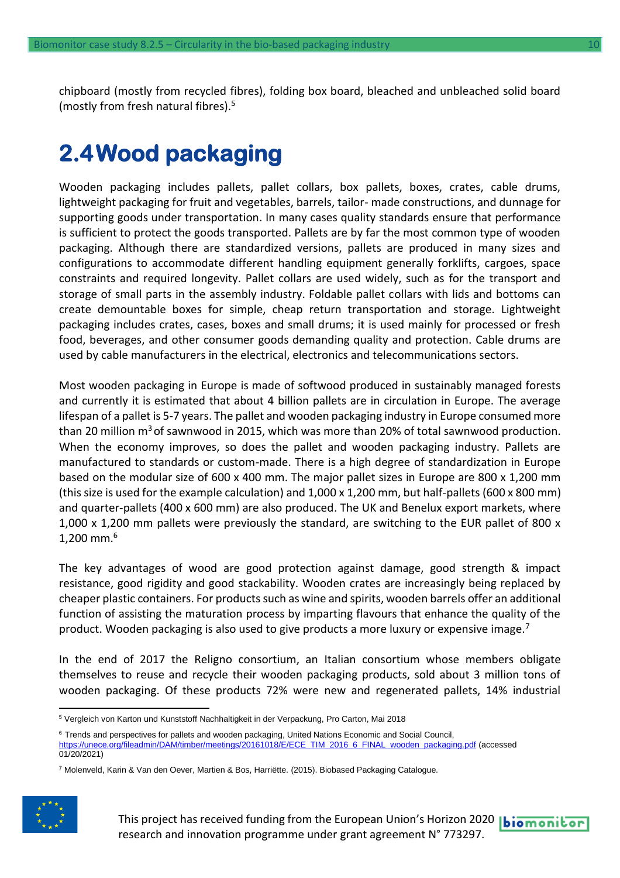chipboard (mostly from recycled fibres), folding box board, bleached and unbleached solid board (mostly from fresh natural fibres).<sup>5</sup>

### <span id="page-9-0"></span>**2.4Wood packaging**

Wooden packaging includes pallets, pallet collars, box pallets, boxes, crates, cable drums, lightweight packaging for fruit and vegetables, barrels, tailor- made constructions, and dunnage for supporting goods under transportation. In many cases quality standards ensure that performance is sufficient to protect the goods transported. Pallets are by far the most common type of wooden packaging. Although there are standardized versions, pallets are produced in many sizes and configurations to accommodate different handling equipment generally forklifts, cargoes, space constraints and required longevity. Pallet collars are used widely, such as for the transport and storage of small parts in the assembly industry. Foldable pallet collars with lids and bottoms can create demountable boxes for simple, cheap return transportation and storage. Lightweight packaging includes crates, cases, boxes and small drums; it is used mainly for processed or fresh food, beverages, and other consumer goods demanding quality and protection. Cable drums are used by cable manufacturers in the electrical, electronics and telecommunications sectors.

Most wooden packaging in Europe is made of softwood produced in sustainably managed forests and currently it is estimated that about 4 billion pallets are in circulation in Europe. The average lifespan of a pallet is 5-7 years. The pallet and wooden packaging industry in Europe consumed more than 20 million  $m^3$  of sawnwood in 2015, which was more than 20% of total sawnwood production. When the economy improves, so does the pallet and wooden packaging industry. Pallets are manufactured to standards or custom-made. There is a high degree of standardization in Europe based on the modular size of 600 x 400 mm. The major pallet sizes in Europe are 800 x 1,200 mm (this size is used for the example calculation) and 1,000 x 1,200 mm, but half-pallets (600 x 800 mm) and quarter-pallets (400 x 600 mm) are also produced. The UK and Benelux export markets, where 1,000 x 1,200 mm pallets were previously the standard, are switching to the EUR pallet of 800 x  $1,200$  mm.<sup>6</sup>

The key advantages of wood are good protection against damage, good strength & impact resistance, good rigidity and good stackability. Wooden crates are increasingly being replaced by cheaper plastic containers. For products such as wine and spirits, wooden barrels offer an additional function of assisting the maturation process by imparting flavours that enhance the quality of the product. Wooden packaging is also used to give products a more luxury or expensive image.<sup>7</sup>

In the end of 2017 the Religno consortium, an Italian consortium whose members obligate themselves to reuse and recycle their wooden packaging products, sold about 3 million tons of wooden packaging. Of these products 72% were new and regenerated pallets, 14% industrial

<sup>6</sup> Trends and perspectives for pallets and wooden packaging, United Nations Economic and Social Council, [https://unece.org/fileadmin/DAM/timber/meetings/20161018/E/ECE\\_TIM\\_2016\\_6\\_FINAL\\_wooden\\_packaging.pdf](https://unece.org/fileadmin/DAM/timber/meetings/20161018/E/ECE_TIM_2016_6_FINAL_wooden_packaging.pdf) (accessed 01/20/2021)

<sup>7</sup> Molenveld, Karin & Van den Oever, Martien & Bos, Harriëtte. (2015). Biobased Packaging Catalogue.



<sup>5</sup> Vergleich von Karton und Kunststoff Nachhaltigkeit in der Verpackung, Pro Carton, Mai 2018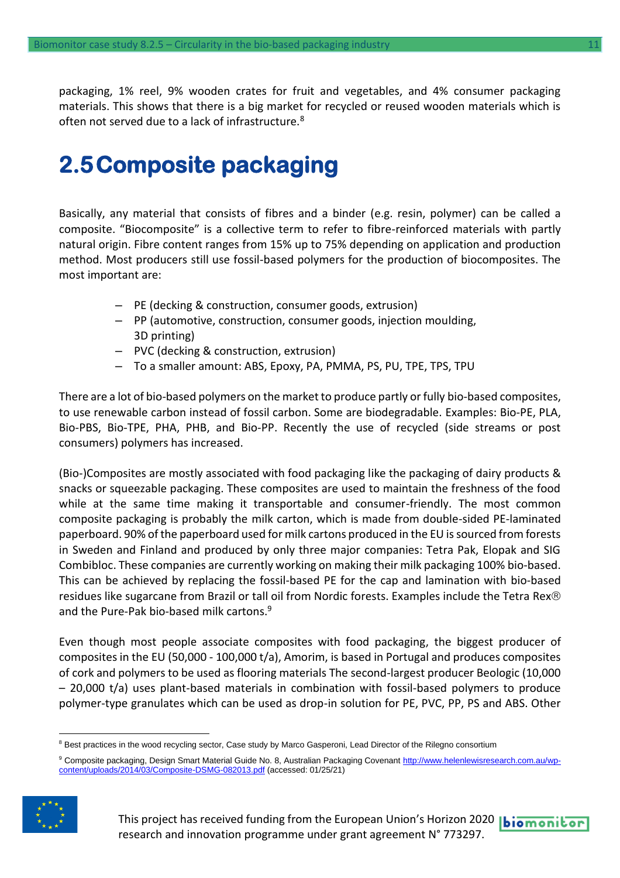packaging, 1% reel, 9% wooden crates for fruit and vegetables, and 4% consumer packaging materials. This shows that there is a big market for recycled or reused wooden materials which is often not served due to a lack of infrastructure.<sup>8</sup>

### <span id="page-10-0"></span>**2.5Composite packaging**

Basically, any material that consists of fibres and a binder (e.g. resin, polymer) can be called a composite. "Biocomposite" is a collective term to refer to fibre-reinforced materials with partly natural origin. Fibre content ranges from 15% up to 75% depending on application and production method. Most producers still use fossil-based polymers for the production of biocomposites. The most important are:

- PE (decking & construction, consumer goods, extrusion)
- PP (automotive, construction, consumer goods, injection moulding, 3D printing)
- PVC (decking & construction, extrusion)
- To a smaller amount: ABS, Epoxy, PA, PMMA, PS, PU, TPE, TPS, TPU

There are a lot of bio-based polymers on the market to produce partly or fully bio-based composites, to use renewable carbon instead of fossil carbon. Some are biodegradable. Examples: Bio-PE, PLA, Bio-PBS, Bio-TPE, PHA, PHB, and Bio-PP. Recently the use of recycled (side streams or post consumers) polymers has increased.

(Bio-)Composites are mostly associated with food packaging like the packaging of dairy products & snacks or squeezable packaging. These composites are used to maintain the freshness of the food while at the same time making it transportable and consumer-friendly. The most common composite packaging is probably the milk carton, which is made from double-sided PE-laminated paperboard. 90% of the paperboard used for milk cartons produced in the EU is sourced from forests in Sweden and Finland and produced by only three major companies: Tetra Pak, Elopak and SIG Combibloc. These companies are currently working on making their milk packaging 100% bio-based. This can be achieved by replacing the fossil-based PE for the cap and lamination with bio-based residues like sugarcane from Brazil or tall oil from Nordic forests. Examples include the Tetra Rex® and the Pure-Pak bio-based milk cartons.<sup>9</sup>

Even though most people associate composites with food packaging, the biggest producer of composites in the EU (50,000 - 100,000 t/a), Amorim, is based in Portugal and produces composites of cork and polymers to be used as flooring materials The second-largest producer Beologic (10,000 – 20,000 t/a) uses plant-based materials in combination with fossil-based polymers to produce polymer-type granulates which can be used as drop-in solution for PE, PVC, PP, PS and ABS. Other

<sup>9</sup> Composite packaging, Design Smart Material Guide No. 8, Australian Packaging Covenan[t http://www.helenlewisresearch.com.au/wp](http://www.helenlewisresearch.com.au/wp-content/uploads/2014/03/Composite-DSMG-082013.pdf)[content/uploads/2014/03/Composite-DSMG-082013.pdf](http://www.helenlewisresearch.com.au/wp-content/uploads/2014/03/Composite-DSMG-082013.pdf) (accessed: 01/25/21)



This project has received funding from the European Union's Horizon 2020 |biomonitor research and innovation programme under grant agreement N° 773297.

<sup>&</sup>lt;sup>8</sup> Best practices in the wood recycling sector, Case study by Marco Gasperoni, Lead Director of the Rilegno consortium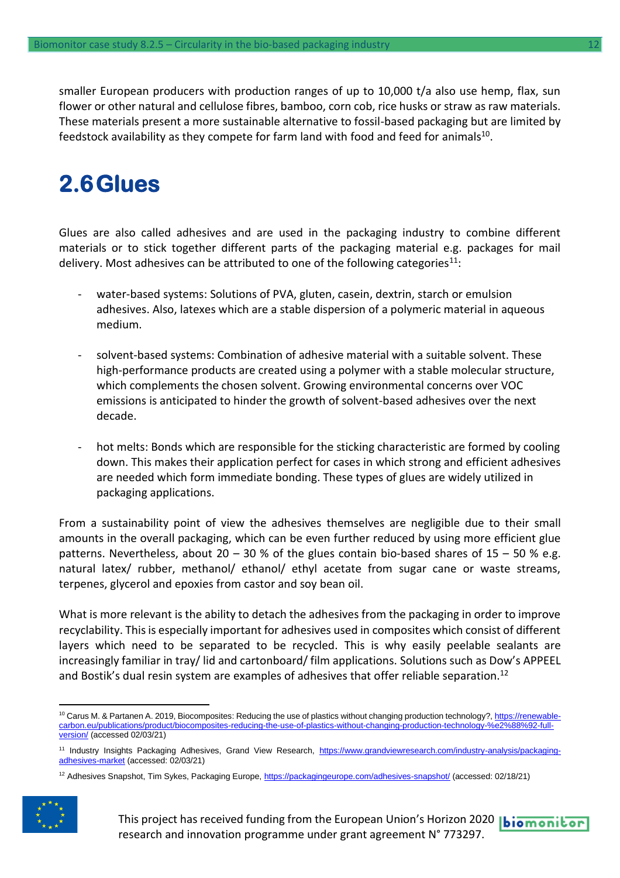smaller European producers with production ranges of up to 10,000 t/a also use hemp, flax, sun flower or other natural and cellulose fibres, bamboo, corn cob, rice husks or straw as raw materials. These materials present a more sustainable alternative to fossil-based packaging but are limited by feedstock availability as they compete for farm land with food and feed for animals $^{\rm 10}.$ 

### <span id="page-11-0"></span>**2.6Glues**

Glues are also called adhesives and are used in the packaging industry to combine different materials or to stick together different parts of the packaging material e.g. packages for mail delivery. Most adhesives can be attributed to one of the following categories<sup>11</sup>:

- water-based systems: Solutions of PVA, gluten, casein, dextrin, starch or emulsion adhesives. Also, latexes which are a stable dispersion of a polymeric material in aqueous medium.
- solvent-based systems: Combination of adhesive material with a suitable solvent. These high-performance products are created using a polymer with a stable molecular structure, which complements the chosen solvent. Growing environmental concerns over VOC emissions is anticipated to hinder the growth of solvent-based adhesives over the next decade.
- hot melts: Bonds which are responsible for the sticking characteristic are formed by cooling down. This makes their application perfect for cases in which strong and efficient adhesives are needed which form immediate bonding. These types of glues are widely utilized in packaging applications.

From a sustainability point of view the adhesives themselves are negligible due to their small amounts in the overall packaging, which can be even further reduced by using more efficient glue patterns. Nevertheless, about 20 – 30 % of the glues contain bio-based shares of 15 – 50 % e.g. natural latex/ rubber, methanol/ ethanol/ ethyl acetate from sugar cane or waste streams, terpenes, glycerol and epoxies from castor and soy bean oil.

What is more relevant is the ability to detach the adhesives from the packaging in order to improve recyclability. This is especially important for adhesives used in composites which consist of different layers which need to be separated to be recycled. This is why easily peelable sealants are increasingly familiar in tray/ lid and cartonboard/ film applications. Solutions such as Dow's APPEEL and Bostik's dual resin system are examples of adhesives that offer reliable separation.<sup>12</sup>

<sup>&</sup>lt;sup>12</sup> Adhesives Snapshot, Tim Sykes, Packaging Europe[, https://packagingeurope.com/adhesives-snapshot/](https://packagingeurope.com/adhesives-snapshot/) (accessed: 02/18/21)



This project has received funding from the European Union's Horizon 2020 |biomonitor research and innovation programme under grant agreement N° 773297.

<sup>&</sup>lt;sup>10</sup> Carus M. & Partanen A. 2019, Biocomposites: Reducing the use of plastics without changing production technology?[, https://renewable](https://renewable-carbon.eu/publications/product/biocomposites-reducing-the-use-of-plastics-without-changing-production-technology-%e2%88%92-full-version/)[carbon.eu/publications/product/biocomposites-reducing-the-use-of-plastics-without-changing-production-technology-%e2%88%92-full](https://renewable-carbon.eu/publications/product/biocomposites-reducing-the-use-of-plastics-without-changing-production-technology-%e2%88%92-full-version/)[version/](https://renewable-carbon.eu/publications/product/biocomposites-reducing-the-use-of-plastics-without-changing-production-technology-%e2%88%92-full-version/) (accessed 02/03/21)

<sup>&</sup>lt;sup>11</sup> Industry Insights Packaging Adhesives, Grand View Research, [https://www.grandviewresearch.com/industry-analysis/packaging](https://www.grandviewresearch.com/industry-analysis/packaging-adhesives-market)[adhesives-market](https://www.grandviewresearch.com/industry-analysis/packaging-adhesives-market) (accessed: 02/03/21)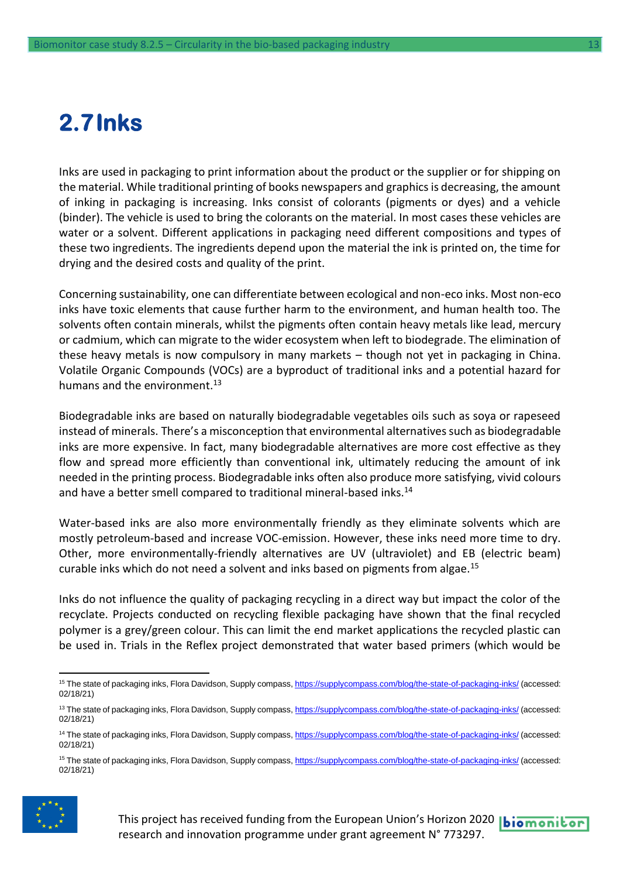### <span id="page-12-0"></span>**2.7Inks**

Inks are used in packaging to print information about the product or the supplier or for shipping on the material. While traditional printing of books newspapers and graphics is decreasing, the amount of inking in packaging is increasing. Inks consist of colorants (pigments or dyes) and a vehicle (binder). The vehicle is used to bring the colorants on the material. In most cases these vehicles are water or a solvent. Different applications in packaging need different compositions and types of these two ingredients. The ingredients depend upon the material the ink is printed on, the time for drying and the desired costs and quality of the print.

Concerning sustainability, one can differentiate between ecological and non-eco inks. Most non-eco inks have toxic elements that cause further harm to the environment, and human health too. The solvents often contain minerals, whilst the pigments often contain heavy metals like lead, mercury or cadmium, which can migrate to the wider ecosystem when left to biodegrade. The elimination of these heavy metals is now compulsory in many markets – though not yet in packaging in China. Volatile Organic Compounds (VOCs) are a byproduct of traditional inks and a potential hazard for humans and the environment.<sup>13</sup>

Biodegradable inks are based on naturally biodegradable vegetables oils such as soya or rapeseed instead of minerals. There's a misconception that environmental alternatives such as biodegradable inks are more expensive. In fact, many biodegradable alternatives are more cost effective as they flow and spread more efficiently than conventional ink, ultimately reducing the amount of ink needed in the printing process. Biodegradable inks often also produce more satisfying, vivid colours and have a better smell compared to traditional mineral-based inks.<sup>14</sup>

Water-based inks are also more environmentally friendly as they eliminate solvents which are mostly petroleum-based and increase VOC-emission. However, these inks need more time to dry. Other, more environmentally-friendly alternatives are UV (ultraviolet) and EB (electric beam) curable inks which do not need a solvent and inks based on pigments from algae.<sup>15</sup>

Inks do not influence the quality of packaging recycling in a direct way but impact the color of the recyclate. Projects conducted on recycling flexible packaging have shown that the final recycled polymer is a grey/green colour. This can limit the end market applications the recycled plastic can be used in. Trials in the Reflex project demonstrated that water based primers (which would be

<sup>&</sup>lt;sup>15</sup> The state of packaging inks, Flora Davidson, Supply compass[, https://supplycompass.com/blog/the-state-of-packaging-inks/](https://supplycompass.com/blog/the-state-of-packaging-inks/) (accessed: 02/18/21)





<sup>&</sup>lt;sup>15</sup> The state of packaging inks, Flora Davidson, Supply compass[, https://supplycompass.com/blog/the-state-of-packaging-inks/](https://supplycompass.com/blog/the-state-of-packaging-inks/) (accessed: 02/18/21)

<sup>&</sup>lt;sup>13</sup> The state of packaging inks, Flora Davidson, Supply compass[, https://supplycompass.com/blog/the-state-of-packaging-inks/](https://supplycompass.com/blog/the-state-of-packaging-inks/) (accessed: 02/18/21)

<sup>&</sup>lt;sup>14</sup> The state of packaging inks, Flora Davidson, Supply compass[, https://supplycompass.com/blog/the-state-of-packaging-inks/](https://supplycompass.com/blog/the-state-of-packaging-inks/) (accessed: 02/18/21)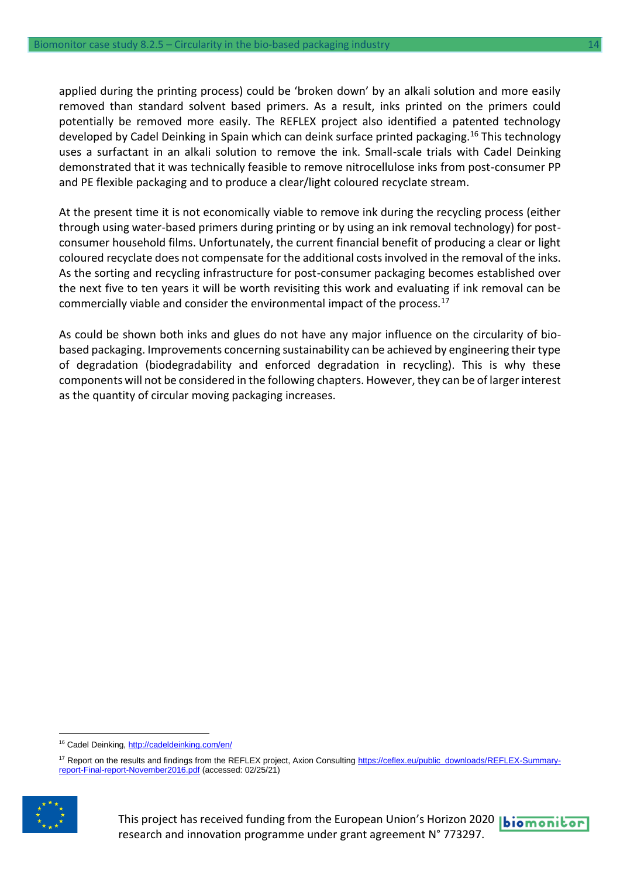applied during the printing process) could be 'broken down' by an alkali solution and more easily removed than standard solvent based primers. As a result, inks printed on the primers could potentially be removed more easily. The REFLEX project also identified a patented technology developed by Cadel Deinking in Spain which can deink surface printed packaging.<sup>16</sup> This technology uses a surfactant in an alkali solution to remove the ink. Small-scale trials with Cadel Deinking demonstrated that it was technically feasible to remove nitrocellulose inks from post-consumer PP and PE flexible packaging and to produce a clear/light coloured recyclate stream.

At the present time it is not economically viable to remove ink during the recycling process (either through using water-based primers during printing or by using an ink removal technology) for postconsumer household films. Unfortunately, the current financial benefit of producing a clear or light coloured recyclate does not compensate for the additional costs involved in the removal of the inks. As the sorting and recycling infrastructure for post-consumer packaging becomes established over the next five to ten years it will be worth revisiting this work and evaluating if ink removal can be commercially viable and consider the environmental impact of the process.<sup>17</sup>

As could be shown both inks and glues do not have any major influence on the circularity of biobased packaging. Improvements concerning sustainability can be achieved by engineering their type of degradation (biodegradability and enforced degradation in recycling). This is why these components will not be considered in the following chapters. However, they can be of larger interest as the quantity of circular moving packaging increases.

<sup>&</sup>lt;sup>17</sup> Report on the results and findings from the REFLEX project, Axion Consultin[g https://ceflex.eu/public\\_downloads/REFLEX-Summary](https://ceflex.eu/public_downloads/REFLEX-Summary-report-Final-report-November2016.pdf)[report-Final-report-November2016.pdf](https://ceflex.eu/public_downloads/REFLEX-Summary-report-Final-report-November2016.pdf) (accessed: 02/25/21)



This project has received funding from the European Union's Horizon 2020 **biomonitor** research and innovation programme under grant agreement N° 773297.

<sup>16</sup> Cadel Deinking,<http://cadeldeinking.com/en/>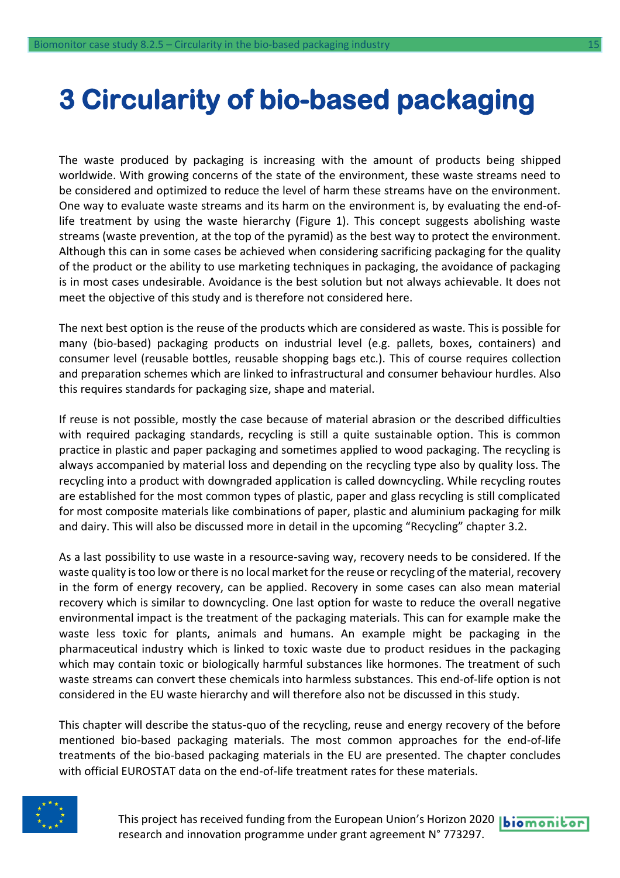# <span id="page-14-0"></span>**3 Circularity of bio-based packaging**

The waste produced by packaging is increasing with the amount of products being shipped worldwide. With growing concerns of the state of the environment, these waste streams need to be considered and optimized to reduce the level of harm these streams have on the environment. One way to evaluate waste streams and its harm on the environment is, by evaluating the end-oflife treatment by using the waste hierarchy (Figure 1). This concept suggests abolishing waste streams (waste prevention, at the top of the pyramid) as the best way to protect the environment. Although this can in some cases be achieved when considering sacrificing packaging for the quality of the product or the ability to use marketing techniques in packaging, the avoidance of packaging is in most cases undesirable. Avoidance is the best solution but not always achievable. It does not meet the objective of this study and is therefore not considered here.

The next best option is the reuse of the products which are considered as waste. This is possible for many (bio-based) packaging products on industrial level (e.g. pallets, boxes, containers) and consumer level (reusable bottles, reusable shopping bags etc.). This of course requires collection and preparation schemes which are linked to infrastructural and consumer behaviour hurdles. Also this requires standards for packaging size, shape and material.

If reuse is not possible, mostly the case because of material abrasion or the described difficulties with required packaging standards, recycling is still a quite sustainable option. This is common practice in plastic and paper packaging and sometimes applied to wood packaging. The recycling is always accompanied by material loss and depending on the recycling type also by quality loss. The recycling into a product with downgraded application is called downcycling. While recycling routes are established for the most common types of plastic, paper and glass recycling is still complicated for most composite materials like combinations of paper, plastic and aluminium packaging for milk and dairy. This will also be discussed more in detail in the upcoming "Recycling" chapter 3.2.

As a last possibility to use waste in a resource-saving way, recovery needs to be considered. If the waste quality is too low or there is no local market for the reuse or recycling of the material, recovery in the form of energy recovery, can be applied. Recovery in some cases can also mean material recovery which is similar to downcycling. One last option for waste to reduce the overall negative environmental impact is the treatment of the packaging materials. This can for example make the waste less toxic for plants, animals and humans. An example might be packaging in the pharmaceutical industry which is linked to toxic waste due to product residues in the packaging which may contain toxic or biologically harmful substances like hormones. The treatment of such waste streams can convert these chemicals into harmless substances. This end-of-life option is not considered in the EU waste hierarchy and will therefore also not be discussed in this study.

This chapter will describe the status-quo of the recycling, reuse and energy recovery of the before mentioned bio-based packaging materials. The most common approaches for the end-of-life treatments of the bio-based packaging materials in the EU are presented. The chapter concludes with official EUROSTAT data on the end-of-life treatment rates for these materials.



This project has received funding from the European Union's Horizon 2020 | biomonitor research and innovation programme under grant agreement N° 773297.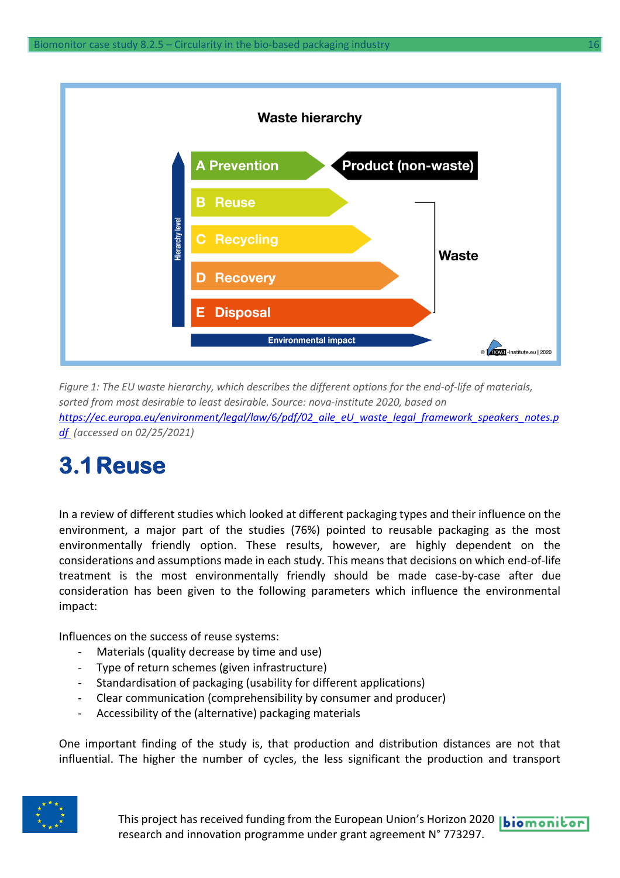

*Figure 1: The EU waste hierarchy, which describes the different options for the end-of-life of materials, sorted from most desirable to least desirable. Source: nova-institute 2020, based on [https://ec.europa.eu/environment/legal/law/6/pdf/02\\_aile\\_eU\\_waste\\_legal\\_framework\\_speakers\\_notes.p](https://ec.europa.eu/environment/legal/law/6/pdf/02_aile_eU_waste_legal_framework_speakers_notes.pdf) [df](https://ec.europa.eu/environment/legal/law/6/pdf/02_aile_eU_waste_legal_framework_speakers_notes.pdf) (accessed on 02/25/2021)*

## <span id="page-15-0"></span>**3.1Reuse**

In a review of different studies which looked at different packaging types and their influence on the environment, a major part of the studies (76%) pointed to reusable packaging as the most environmentally friendly option. These results, however, are highly dependent on the considerations and assumptions made in each study. This means that decisions on which end-of-life treatment is the most environmentally friendly should be made case-by-case after due consideration has been given to the following parameters which influence the environmental impact:

Influences on the success of reuse systems:

- Materials (quality decrease by time and use)
- Type of return schemes (given infrastructure)
- Standardisation of packaging (usability for different applications)
- Clear communication (comprehensibility by consumer and producer)
- Accessibility of the (alternative) packaging materials

One important finding of the study is, that production and distribution distances are not that influential. The higher the number of cycles, the less significant the production and transport

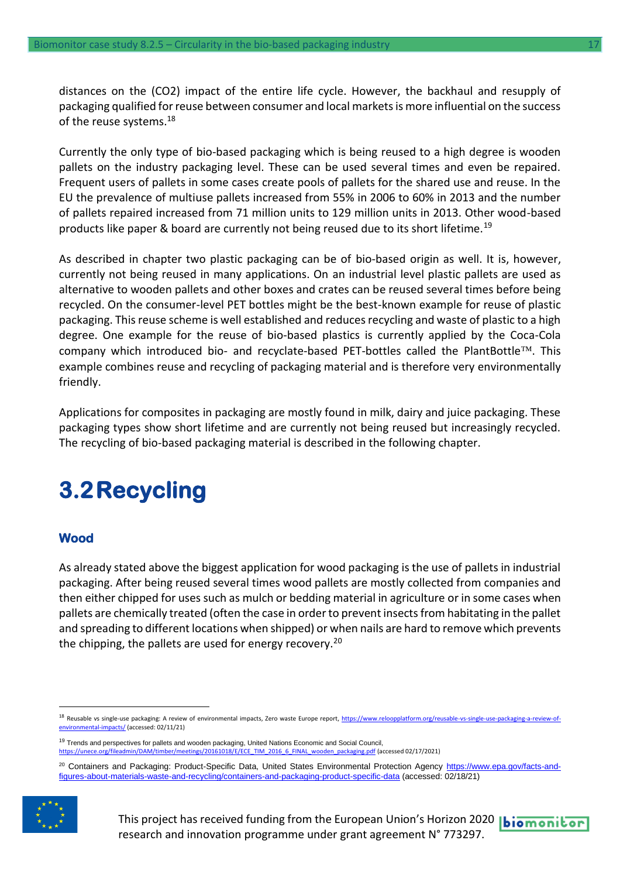distances on the (CO2) impact of the entire life cycle. However, the backhaul and resupply of packaging qualified for reuse between consumer and local markets is more influential on the success of the reuse systems.<sup>18</sup>

Currently the only type of bio-based packaging which is being reused to a high degree is wooden pallets on the industry packaging level. These can be used several times and even be repaired. Frequent users of pallets in some cases create pools of pallets for the shared use and reuse. In the EU the prevalence of multiuse pallets increased from 55% in 2006 to 60% in 2013 and the number of pallets repaired increased from 71 million units to 129 million units in 2013. Other wood-based products like paper & board are currently not being reused due to its short lifetime.<sup>19</sup>

As described in chapter two plastic packaging can be of bio-based origin as well. It is, however, currently not being reused in many applications. On an industrial level plastic pallets are used as alternative to wooden pallets and other boxes and crates can be reused several times before being recycled. On the consumer-level PET bottles might be the best-known example for reuse of plastic packaging. This reuse scheme is well established and reduces recycling and waste of plastic to a high degree. One example for the reuse of bio-based plastics is currently applied by the Coca-Cola company which introduced bio- and recyclate-based PET-bottles called the PlantBottle<sup>TM</sup>. This example combines reuse and recycling of packaging material and is therefore very environmentally friendly.

Applications for composites in packaging are mostly found in milk, dairy and juice packaging. These packaging types show short lifetime and are currently not being reused but increasingly recycled. The recycling of bio-based packaging material is described in the following chapter.

## <span id="page-16-0"></span>**3.2Recycling**

#### **Wood**

As already stated above the biggest application for wood packaging is the use of pallets in industrial packaging. After being reused several times wood pallets are mostly collected from companies and then either chipped for uses such as mulch or bedding material in agriculture or in some cases when pallets are chemically treated (often the case in order to prevent insects from habitating in the pallet and spreading to different locations when shipped) or when nails are hard to remove which prevents the chipping, the pallets are used for energy recovery.<sup>20</sup>

<sup>19</sup> Trends and perspectives for pallets and wooden packaging, United Nations Economic and Social Council, timber/meetings/20161018/E/ECE\_TIM\_2016\_6\_FINAL\_wooden\_packaging.pdf (accessed 02/17/2021)

<sup>&</sup>lt;sup>20</sup> Containers and Packaging: Product-Specific Data, United States Environmental Protection Agency [https://www.epa.gov/facts-and](https://www.epa.gov/facts-and-figures-about-materials-waste-and-recycling/containers-and-packaging-product-specific-data)[figures-about-materials-waste-and-recycling/containers-and-packaging-product-specific-data](https://www.epa.gov/facts-and-figures-about-materials-waste-and-recycling/containers-and-packaging-product-specific-data) (accessed: 02/18/21)



<sup>18</sup> Reusable vs single-use packaging: A review of environmental impacts, Zero waste Europe report, [https://www.reloopplatform.org/reusable-vs-single-use-packaging-a-review-of](https://www.reloopplatform.org/reusable-vs-single-use-packaging-a-review-of-environmental-impacts/)[environmental-impacts/](https://www.reloopplatform.org/reusable-vs-single-use-packaging-a-review-of-environmental-impacts/) (accessed: 02/11/21)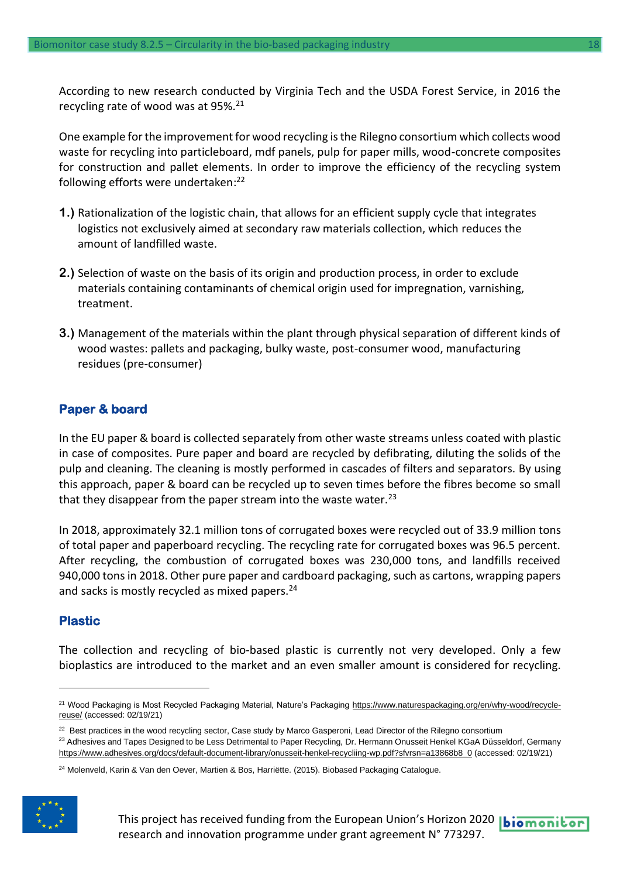According to new research conducted by Virginia Tech and the USDA Forest Service, in 2016 the recycling rate of wood was at 95%.<sup>21</sup>

One example for the improvement for wood recycling is the Rilegno consortium which collects wood waste for recycling into particleboard, mdf panels, pulp for paper mills, wood-concrete composites for construction and pallet elements. In order to improve the efficiency of the recycling system following efforts were undertaken: 22

- **1.)** Rationalization of the logistic chain, that allows for an efficient supply cycle that integrates logistics not exclusively aimed at secondary raw materials collection, which reduces the amount of landfilled waste.
- **2.)** Selection of waste on the basis of its origin and production process, in order to exclude materials containing contaminants of chemical origin used for impregnation, varnishing, treatment.
- **3.)** Management of the materials within the plant through physical separation of different kinds of wood wastes: pallets and packaging, bulky waste, post-consumer wood, manufacturing residues (pre-consumer)

#### **Paper & board**

In the EU paper & board is collected separately from other waste streams unless coated with plastic in case of composites. Pure paper and board are recycled by defibrating, diluting the solids of the pulp and cleaning. The cleaning is mostly performed in cascades of filters and separators. By using this approach, paper & board can be recycled up to seven times before the fibres become so small that they disappear from the paper stream into the waste water. $^{23}$ 

In 2018, approximately 32.1 million tons of corrugated boxes were recycled out of 33.9 million tons of total paper and paperboard recycling. The recycling rate for corrugated boxes was 96.5 percent. After recycling, the combustion of corrugated boxes was 230,000 tons, and landfills received 940,000 tons in 2018. Other pure paper and cardboard packaging, such as cartons, wrapping papers and sacks is mostly recycled as mixed papers.<sup>24</sup>

#### **Plastic**

The collection and recycling of bio-based plastic is currently not very developed. Only a few bioplastics are introduced to the market and an even smaller amount is considered for recycling.

<sup>&</sup>lt;sup>24</sup> Molenveld, Karin & Van den Oever, Martien & Bos, Harriëtte. (2015). Biobased Packaging Catalogue.



<sup>&</sup>lt;sup>21</sup> Wood Packaging is Most Recycled Packaging Material, Nature's Packaging [https://www.naturespackaging.org/en/why-wood/recycle](https://www.naturespackaging.org/en/why-wood/recycle-reuse/)[reuse/](https://www.naturespackaging.org/en/why-wood/recycle-reuse/) (accessed: 02/19/21)

<sup>&</sup>lt;sup>22</sup> Best practices in the wood recycling sector, Case study by Marco Gasperoni, Lead Director of the Rilegno consortium

<sup>&</sup>lt;sup>23</sup> Adhesives and Tapes Designed to be Less Detrimental to Paper Recycling, Dr. Hermann Onusseit Henkel KGaA Düsseldorf, Germany [https://www.adhesives.org/docs/default-document-library/onusseit-henkel-recycliing-wp.pdf?sfvrsn=a13868b8\\_0](https://www.adhesives.org/docs/default-document-library/onusseit-henkel-recycliing-wp.pdf?sfvrsn=a13868b8_0) (accessed: 02/19/21)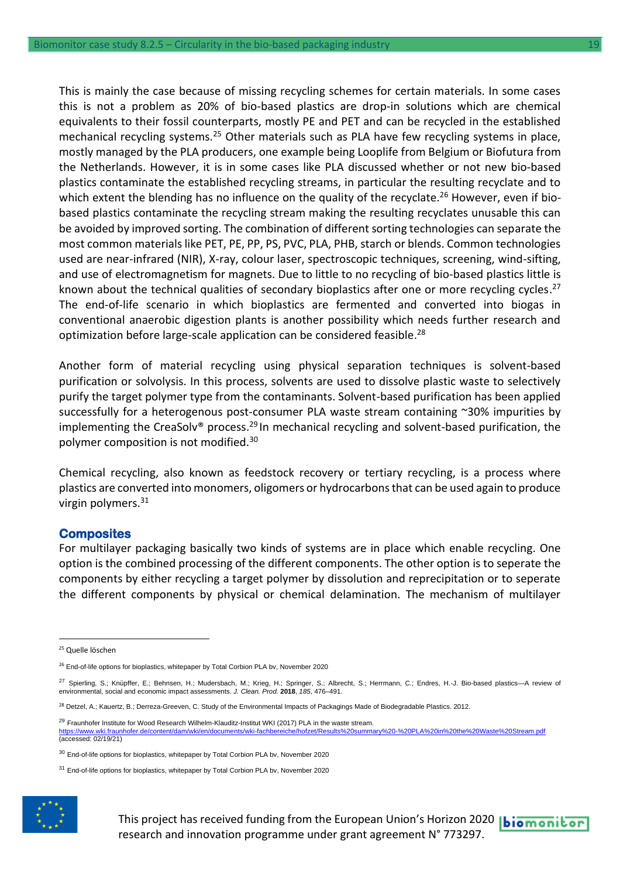This is mainly the case because of missing recycling schemes for certain materials. In some cases this is not a problem as 20% of bio-based plastics are drop-in solutions which are chemical equivalents to their fossil counterparts, mostly PE and PET and can be recycled in the established mechanical recycling systems.<sup>25</sup> Other materials such as PLA have few recycling systems in place, mostly managed by the PLA producers, one example being Looplife from Belgium or Biofutura from the Netherlands. However, it is in some cases like PLA discussed whether or not new bio-based plastics contaminate the established recycling streams, in particular the resulting recyclate and to which extent the blending has no influence on the quality of the recyclate.<sup>26</sup> However, even if biobased plastics contaminate the recycling stream making the resulting recyclates unusable this can be avoided by improved sorting. The combination of different sorting technologies can separate the most common materials like PET, PE, PP, PS, PVC, PLA, PHB, starch or blends. Common technologies used are near-infrared (NIR), X-ray, colour laser, spectroscopic techniques, screening, wind-sifting, and use of electromagnetism for magnets. Due to little to no recycling of bio-based plastics little is known about the technical qualities of secondary bioplastics after one or more recycling cycles.<sup>27</sup> The end-of-life scenario in which bioplastics are fermented and converted into biogas in conventional anaerobic digestion plants is another possibility which needs further research and optimization before large-scale application can be considered feasible. 28

Another form of material recycling using physical separation techniques is solvent-based purification or solvolysis. In this process, solvents are used to dissolve plastic waste to selectively purify the target polymer type from the contaminants. Solvent-based purification has been applied successfully for a heterogenous post-consumer PLA waste stream containing ~30% impurities by implementing the CreaSolv® process.<sup>29</sup> In mechanical recycling and solvent-based purification, the polymer composition is not modified.<sup>30</sup>

Chemical recycling, also known as feedstock recovery or tertiary recycling, is a process where plastics are converted into monomers, oligomers or hydrocarbons that can be used again to produce virgin polymers. $31$ 

#### **Composites**

For multilayer packaging basically two kinds of systems are in place which enable recycling. One option is the combined processing of the different components. The other option is to seperate the components by either recycling a target polymer by dissolution and reprecipitation or to seperate the different components by physical or chemical delamination. The mechanism of multilayer

<sup>&</sup>lt;sup>31</sup> End-of-life options for bioplastics, whitepaper by Total Corbion PLA bv, November 2020



<sup>&</sup>lt;sup>25</sup> Quelle löschen

<sup>&</sup>lt;sup>26</sup> End-of-life options for bioplastics, whitepaper by Total Corbion PLA bv, November 2020

<sup>27</sup> Spierling, S.; Knüpffer, E.; Behnsen, H.; Mudersbach, M.; Krieg, H.; Springer, S.; Albrecht, S.; Herrmann, C.; Endres, H.-J. Bio-based plastics—A review of environmental, social and economic impact assessments. *J. Clean. Prod.* **2018**, *185*, 476–491.

<sup>28</sup> Detzel, A.; Kauertz, B.; Derreza-Greeven, C. Study of the Environmental Impacts of Packagings Made of Biodegradable Plastics. 2012.

<sup>&</sup>lt;sup>29</sup> Fraunhofer Institute for Wood Research Wilhelm-Klauditz-Institut WKI (2017) PLA in the waste stream.<br>https://www.wki.fraunhofer.de/content/dam/wki/en/documents/wki-fachbereiche/hofzet/Results%20summa %20-%20PLA%20in%20the%20Waste%20Stream.pdf (accessed: 02/19/21)

<sup>&</sup>lt;sup>30</sup> End-of-life options for bioplastics, whitepaper by Total Corbion PLA bv, November 2020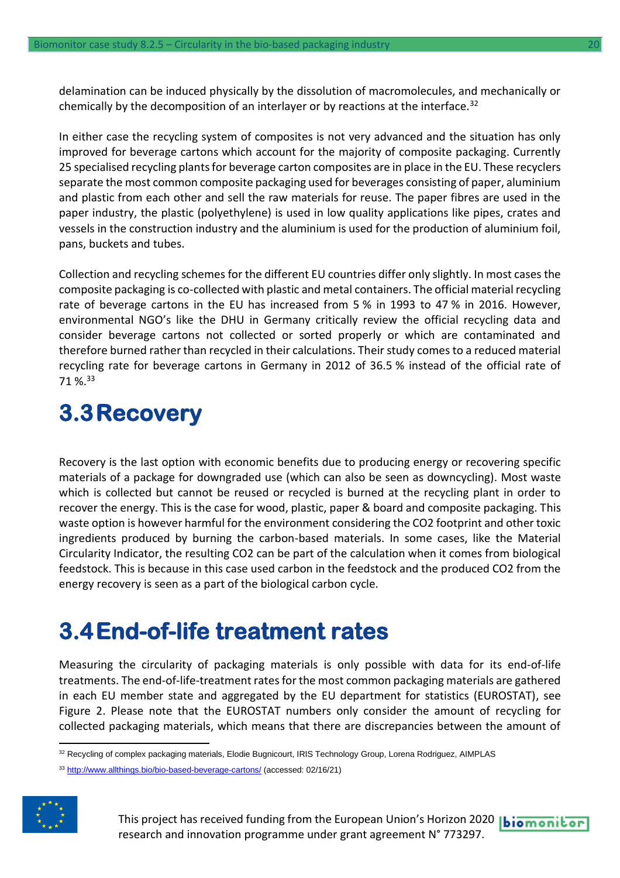delamination can be induced physically by the dissolution of macromolecules, and mechanically or chemically by the decomposition of an interlayer or by reactions at the interface.<sup>32</sup> 

In either case the recycling system of composites is not very advanced and the situation has only improved for beverage cartons which account for the majority of composite packaging. Currently 25 specialised recycling plants for beverage carton composites are in place in the EU. These recyclers separate the most common composite packaging used for beverages consisting of paper, aluminium and plastic from each other and sell the raw materials for reuse. The paper fibres are used in the paper industry, the plastic (polyethylene) is used in low quality applications like pipes, crates and vessels in the construction industry and the aluminium is used for the production of aluminium foil, pans, buckets and tubes.

Collection and recycling schemes for the different EU countries differ only slightly. In most cases the composite packaging is co-collected with plastic and metal containers. The official material recycling rate of beverage cartons in the EU has increased from 5 % in 1993 to 47 % in 2016. However, environmental NGO's like the DHU in Germany critically review the official recycling data and consider beverage cartons not collected or sorted properly or which are contaminated and therefore burned rather than recycled in their calculations. Their study comes to a reduced material recycling rate for beverage cartons in Germany in 2012 of 36.5 % instead of the official rate of 71 %.<sup>33</sup>

### <span id="page-19-0"></span>**3.3Recovery**

Recovery is the last option with economic benefits due to producing energy or recovering specific materials of a package for downgraded use (which can also be seen as downcycling). Most waste which is collected but cannot be reused or recycled is burned at the recycling plant in order to recover the energy. This is the case for wood, plastic, paper & board and composite packaging. This waste option is however harmful for the environment considering the CO2 footprint and other toxic ingredients produced by burning the carbon-based materials. In some cases, like the Material Circularity Indicator, the resulting CO2 can be part of the calculation when it comes from biological feedstock. This is because in this case used carbon in the feedstock and the produced CO2 from the energy recovery is seen as a part of the biological carbon cycle.

### <span id="page-19-1"></span>**3.4End-of-life treatment rates**

Measuring the circularity of packaging materials is only possible with data for its end-of-life treatments. The end-of-life-treatment rates for the most common packaging materials are gathered in each EU member state and aggregated by the EU department for statistics (EUROSTAT), see Figure 2. Please note that the EUROSTAT numbers only consider the amount of recycling for collected packaging materials, which means that there are discrepancies between the amount of

<sup>33</sup> <http://www.allthings.bio/bio-based-beverage-cartons/> (accessed: 02/16/21)



This project has received funding from the European Union's Horizon 2020 |biomonitor research and innovation programme under grant agreement N° 773297.

<sup>32</sup> Recycling of complex packaging materials, Elodie Bugnicourt, IRIS Technology Group, Lorena Rodriguez, AIMPLAS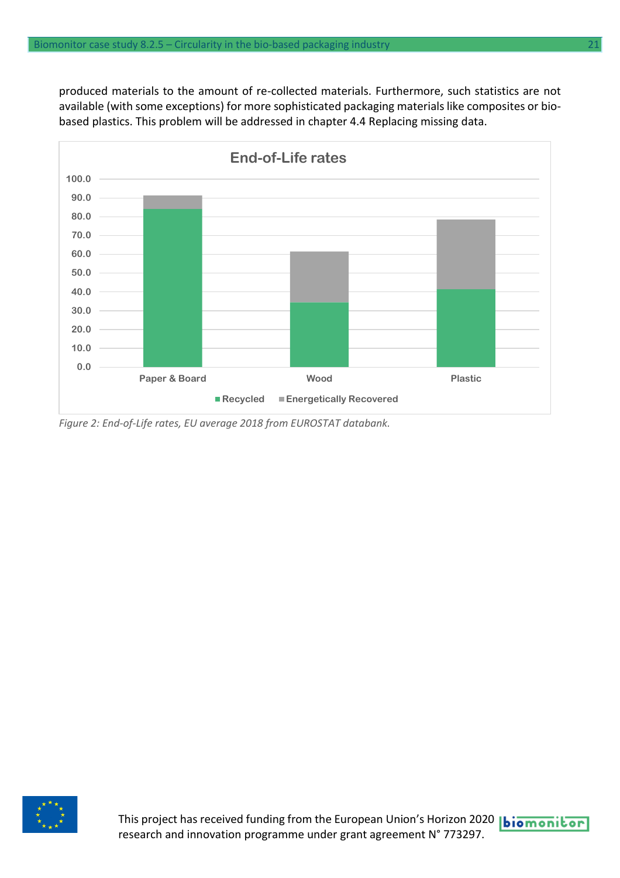produced materials to the amount of re-collected materials. Furthermore, such statistics are not available (with some exceptions) for more sophisticated packaging materials like composites or biobased plastics. This problem will be addressed in chapter 4.4 Replacing missing data.



*Figure 2: End-of-Life rates, EU average 2018 from EUROSTAT databank.*



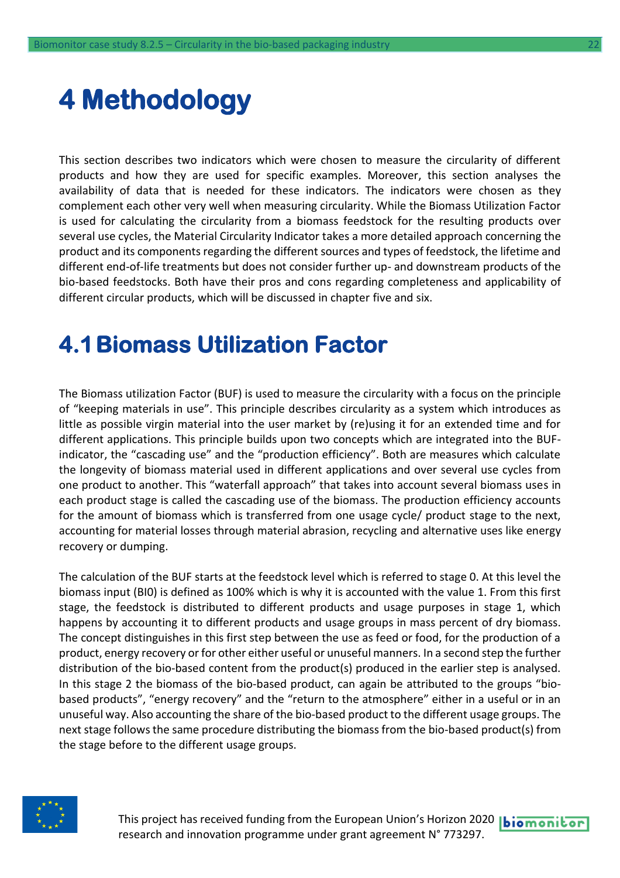## <span id="page-21-0"></span>**4 Methodology**

This section describes two indicators which were chosen to measure the circularity of different products and how they are used for specific examples. Moreover, this section analyses the availability of data that is needed for these indicators. The indicators were chosen as they complement each other very well when measuring circularity. While the Biomass Utilization Factor is used for calculating the circularity from a biomass feedstock for the resulting products over several use cycles, the Material Circularity Indicator takes a more detailed approach concerning the product and its components regarding the different sources and types of feedstock, the lifetime and different end-of-life treatments but does not consider further up- and downstream products of the bio-based feedstocks. Both have their pros and cons regarding completeness and applicability of different circular products, which will be discussed in chapter five and six.

### <span id="page-21-1"></span>**4.1Biomass Utilization Factor**

The Biomass utilization Factor (BUF) is used to measure the circularity with a focus on the principle of "keeping materials in use". This principle describes circularity as a system which introduces as little as possible virgin material into the user market by (re)using it for an extended time and for different applications. This principle builds upon two concepts which are integrated into the BUFindicator, the "cascading use" and the "production efficiency". Both are measures which calculate the longevity of biomass material used in different applications and over several use cycles from one product to another. This "waterfall approach" that takes into account several biomass uses in each product stage is called the cascading use of the biomass. The production efficiency accounts for the amount of biomass which is transferred from one usage cycle/ product stage to the next, accounting for material losses through material abrasion, recycling and alternative uses like energy recovery or dumping.

The calculation of the BUF starts at the feedstock level which is referred to stage 0. At this level the biomass input (BI0) is defined as 100% which is why it is accounted with the value 1. From this first stage, the feedstock is distributed to different products and usage purposes in stage 1, which happens by accounting it to different products and usage groups in mass percent of dry biomass. The concept distinguishes in this first step between the use as feed or food, for the production of a product, energy recovery or for other either useful or unuseful manners. In a second step the further distribution of the bio-based content from the product(s) produced in the earlier step is analysed. In this stage 2 the biomass of the bio-based product, can again be attributed to the groups "biobased products", "energy recovery" and the "return to the atmosphere" either in a useful or in an unuseful way. Also accounting the share of the bio-based product to the different usage groups. The next stage follows the same procedure distributing the biomass from the bio-based product(s) from the stage before to the different usage groups.



This project has received funding from the European Union's Horizon 2020 | biomonitor research and innovation programme under grant agreement N° 773297.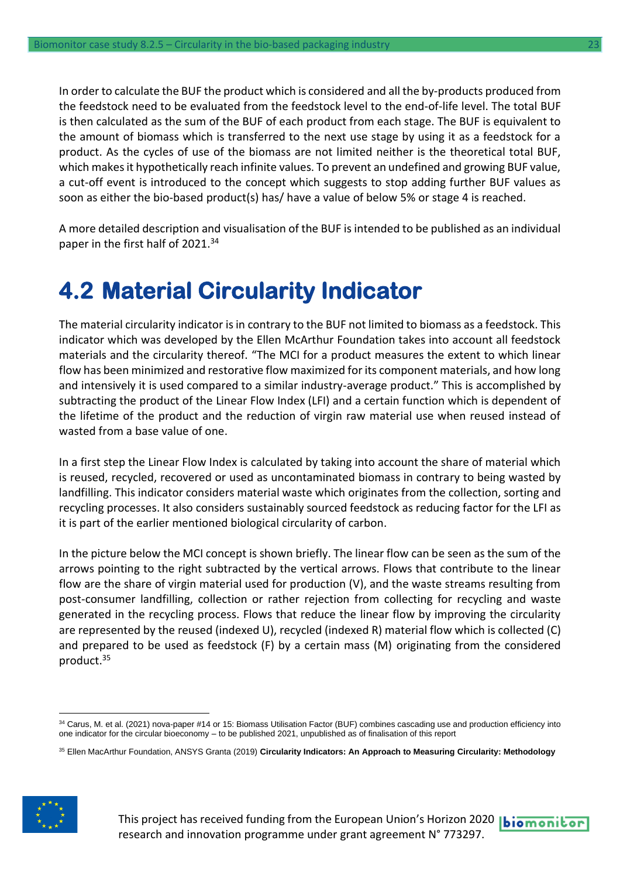In order to calculate the BUF the product which is considered and all the by-products produced from the feedstock need to be evaluated from the feedstock level to the end-of-life level. The total BUF is then calculated as the sum of the BUF of each product from each stage. The BUF is equivalent to the amount of biomass which is transferred to the next use stage by using it as a feedstock for a product. As the cycles of use of the biomass are not limited neither is the theoretical total BUF, which makes it hypothetically reach infinite values. To prevent an undefined and growing BUF value, a cut-off event is introduced to the concept which suggests to stop adding further BUF values as soon as either the bio-based product(s) has/ have a value of below 5% or stage 4 is reached.

A more detailed description and visualisation of the BUF is intended to be published as an individual paper in the first half of 2021.<sup>34</sup>

### <span id="page-22-0"></span>**4.2 Material Circularity Indicator**

The material circularity indicator is in contrary to the BUF not limited to biomass as a feedstock. This indicator which was developed by the Ellen McArthur Foundation takes into account all feedstock materials and the circularity thereof. "The MCI for a product measures the extent to which linear flow has been minimized and restorative flow maximized for its component materials, and how long and intensively it is used compared to a similar industry-average product." This is accomplished by subtracting the product of the Linear Flow Index (LFI) and a certain function which is dependent of the lifetime of the product and the reduction of virgin raw material use when reused instead of wasted from a base value of one.

In a first step the Linear Flow Index is calculated by taking into account the share of material which is reused, recycled, recovered or used as uncontaminated biomass in contrary to being wasted by landfilling. This indicator considers material waste which originates from the collection, sorting and recycling processes. It also considers sustainably sourced feedstock as reducing factor for the LFI as it is part of the earlier mentioned biological circularity of carbon.

In the picture below the MCI concept is shown briefly. The linear flow can be seen as the sum of the arrows pointing to the right subtracted by the vertical arrows. Flows that contribute to the linear flow are the share of virgin material used for production (V), and the waste streams resulting from post-consumer landfilling, collection or rather rejection from collecting for recycling and waste generated in the recycling process. Flows that reduce the linear flow by improving the circularity are represented by the reused (indexed U), recycled (indexed R) material flow which is collected (C) and prepared to be used as feedstock (F) by a certain mass (M) originating from the considered product.<sup>35</sup>

<sup>35</sup> Ellen MacArthur Foundation, ANSYS Granta (2019) **Circularity Indicators: An Approach to Measuring Circularity: Methodology**





<sup>34</sup> Carus, M. et al. (2021) nova-paper #14 or 15: Biomass Utilisation Factor (BUF) combines cascading use and production efficiency into one indicator for the circular bioeconomy – to be published 2021, unpublished as of finalisation of this report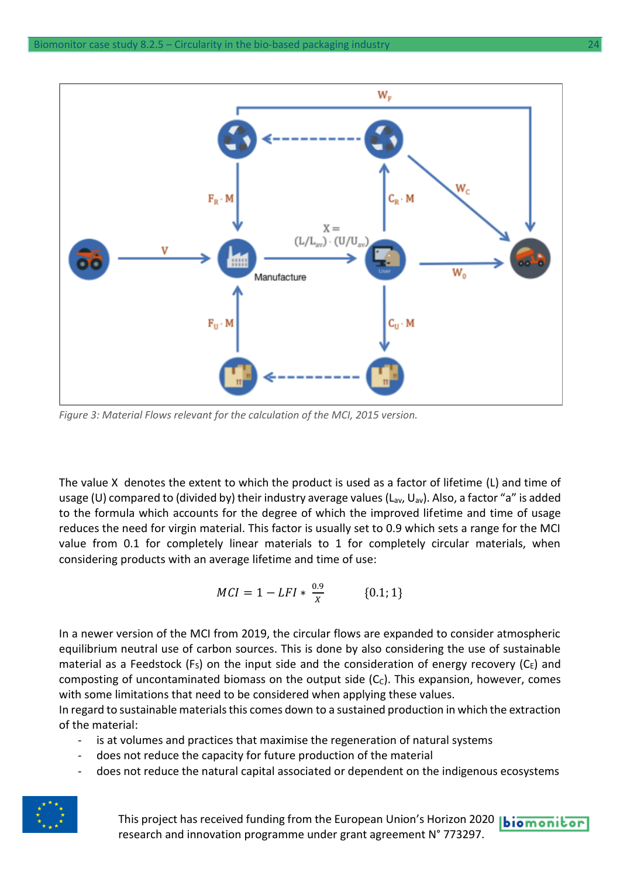

*Figure 3: Material Flows relevant for the calculation of the MCI, 2015 version.*

The value X denotes the extent to which the product is used as a factor of lifetime (L) and time of usage (U) compared to (divided by) their industry average values ( $L_{av}$ ,  $U_{av}$ ). Also, a factor "a" is added to the formula which accounts for the degree of which the improved lifetime and time of usage reduces the need for virgin material. This factor is usually set to 0.9 which sets a range for the MCI value from 0.1 for completely linear materials to 1 for completely circular materials, when considering products with an average lifetime and time of use:

$$
MCI = 1 - LFI * \frac{0.9}{X} \quad \{0.1; 1\}
$$

In a newer version of the MCI from 2019, the circular flows are expanded to consider atmospheric equilibrium neutral use of carbon sources. This is done by also considering the use of sustainable material as a Feedstock (F<sub>S</sub>) on the input side and the consideration of energy recovery (C<sub>E</sub>) and composting of uncontaminated biomass on the output side  $(C<sub>c</sub>)$ . This expansion, however, comes with some limitations that need to be considered when applying these values.

In regard to sustainable materials this comes down to a sustained production in which the extraction of the material:

- is at volumes and practices that maximise the regeneration of natural systems
- does not reduce the capacity for future production of the material
- does not reduce the natural capital associated or dependent on the indigenous ecosystems



This project has received funding from the European Union's Horizon 2020 **biomonitor** research and innovation programme under grant agreement N° 773297.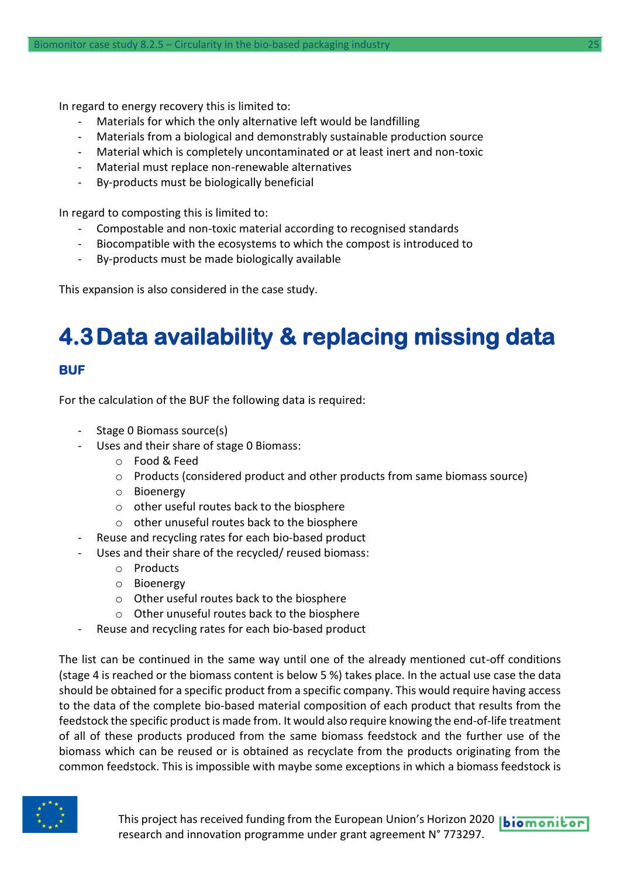In regard to energy recovery this is limited to:

- Materials for which the only alternative left would be landfilling
- Materials from a biological and demonstrably sustainable production source
- Material which is completely uncontaminated or at least inert and non-toxic
- Material must replace non-renewable alternatives
- By-products must be biologically beneficial

In regard to composting this is limited to:

- Compostable and non-toxic material according to recognised standards
- Biocompatible with the ecosystems to which the compost is introduced to
- By-products must be made biologically available

This expansion is also considered in the case study.

### <span id="page-24-0"></span>**4.3Data availability & replacing missing data**

#### **BUF**

For the calculation of the BUF the following data is required:

- Stage 0 Biomass source(s)
- Uses and their share of stage 0 Biomass:
	- o Food & Feed
	- o Products (considered product and other products from same biomass source)
	- o Bioenergy
	- o other useful routes back to the biosphere
	- o other unuseful routes back to the biosphere
- Reuse and recycling rates for each bio-based product
- Uses and their share of the recycled/ reused biomass:
	- o Products
	- o Bioenergy
	- o Other useful routes back to the biosphere
	- o Other unuseful routes back to the biosphere
- Reuse and recycling rates for each bio-based product

The list can be continued in the same way until one of the already mentioned cut-off conditions (stage 4 is reached or the biomass content is below 5 %) takes place. In the actual use case the data should be obtained for a specific product from a specific company. This would require having access to the data of the complete bio-based material composition of each product that results from the feedstock the specific product is made from. It would also require knowing the end-of-life treatment of all of these products produced from the same biomass feedstock and the further use of the biomass which can be reused or is obtained as recyclate from the products originating from the common feedstock. This is impossible with maybe some exceptions in which a biomass feedstock is

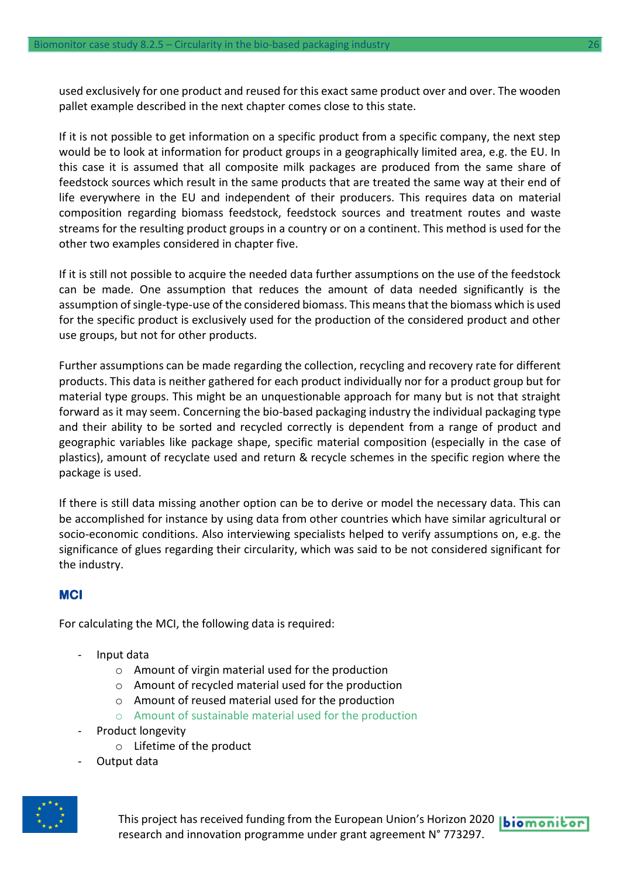used exclusively for one product and reused for this exact same product over and over. The wooden pallet example described in the next chapter comes close to this state.

If it is not possible to get information on a specific product from a specific company, the next step would be to look at information for product groups in a geographically limited area, e.g. the EU. In this case it is assumed that all composite milk packages are produced from the same share of feedstock sources which result in the same products that are treated the same way at their end of life everywhere in the EU and independent of their producers. This requires data on material composition regarding biomass feedstock, feedstock sources and treatment routes and waste streams for the resulting product groups in a country or on a continent. This method is used for the other two examples considered in chapter five.

If it is still not possible to acquire the needed data further assumptions on the use of the feedstock can be made. One assumption that reduces the amount of data needed significantly is the assumption of single-type-use of the considered biomass. This means that the biomass which is used for the specific product is exclusively used for the production of the considered product and other use groups, but not for other products.

Further assumptions can be made regarding the collection, recycling and recovery rate for different products. This data is neither gathered for each product individually nor for a product group but for material type groups. This might be an unquestionable approach for many but is not that straight forward as it may seem. Concerning the bio-based packaging industry the individual packaging type and their ability to be sorted and recycled correctly is dependent from a range of product and geographic variables like package shape, specific material composition (especially in the case of plastics), amount of recyclate used and return & recycle schemes in the specific region where the package is used.

If there is still data missing another option can be to derive or model the necessary data. This can be accomplished for instance by using data from other countries which have similar agricultural or socio-economic conditions. Also interviewing specialists helped to verify assumptions on, e.g. the significance of glues regarding their circularity, which was said to be not considered significant for the industry.

#### **MCI**

For calculating the MCI, the following data is required:

- Input data
	- o Amount of virgin material used for the production
	- o Amount of recycled material used for the production
	- o Amount of reused material used for the production
	- o Amount of sustainable material used for the production
- Product longevity
	- o Lifetime of the product
- Output data



This project has received funding from the European Union's Horizon 2020 |biomonitor research and innovation programme under grant agreement N° 773297.

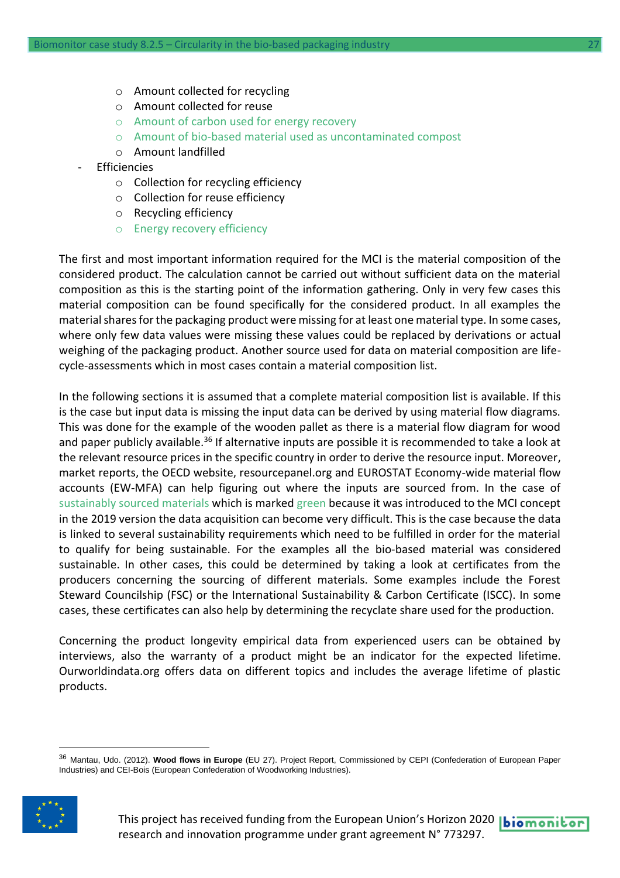- o Amount collected for recycling
- o Amount collected for reuse
- o Amount of carbon used for energy recovery
- o Amount of bio-based material used as uncontaminated compost
- o Amount landfilled
- **Ffficiencies** 
	- o Collection for recycling efficiency
	- o Collection for reuse efficiency
	- o Recycling efficiency
	- o Energy recovery efficiency

The first and most important information required for the MCI is the material composition of the considered product. The calculation cannot be carried out without sufficient data on the material composition as this is the starting point of the information gathering. Only in very few cases this material composition can be found specifically for the considered product. In all examples the material shares for the packaging product were missing for at least one material type. In some cases, where only few data values were missing these values could be replaced by derivations or actual weighing of the packaging product. Another source used for data on material composition are lifecycle-assessments which in most cases contain a material composition list.

In the following sections it is assumed that a complete material composition list is available. If this is the case but input data is missing the input data can be derived by using material flow diagrams. This was done for the example of the wooden pallet as there is a material flow diagram for wood and paper publicly available.<sup>36</sup> If alternative inputs are possible it is recommended to take a look at the relevant resource prices in the specific country in order to derive the resource input. Moreover, market reports, the OECD website, resourcepanel.org and EUROSTAT Economy-wide material flow accounts (EW-MFA) can help figuring out where the inputs are sourced from. In the case of sustainably sourced materials which is marked green because it was introduced to the MCI concept in the 2019 version the data acquisition can become very difficult. This is the case because the data is linked to several sustainability requirements which need to be fulfilled in order for the material to qualify for being sustainable. For the examples all the bio-based material was considered sustainable. In other cases, this could be determined by taking a look at certificates from the producers concerning the sourcing of different materials. Some examples include the Forest Steward Councilship (FSC) or the International Sustainability & Carbon Certificate (ISCC). In some cases, these certificates can also help by determining the recyclate share used for the production.

Concerning the product longevity empirical data from experienced users can be obtained by interviews, also the warranty of a product might be an indicator for the expected lifetime. Ourworldindata.org offers data on different topics and includes the average lifetime of plastic products.

<sup>36</sup> Mantau, Udo. (2012). **Wood flows in Europe** (EU 27). Project Report, Commissioned by CEPI (Confederation of European Paper Industries) and CEI-Bois (European Confederation of Woodworking Industries).

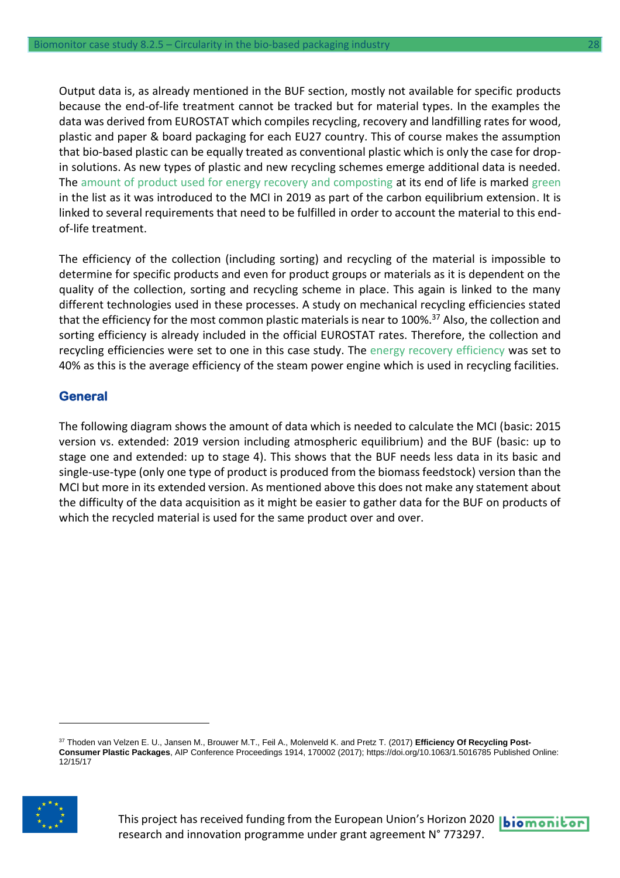Output data is, as already mentioned in the BUF section, mostly not available for specific products because the end-of-life treatment cannot be tracked but for material types. In the examples the data was derived from EUROSTAT which compiles recycling, recovery and landfilling rates for wood, plastic and paper & board packaging for each EU27 country. This of course makes the assumption that bio-based plastic can be equally treated as conventional plastic which is only the case for dropin solutions. As new types of plastic and new recycling schemes emerge additional data is needed. The amount of product used for energy recovery and composting at its end of life is marked green in the list as it was introduced to the MCI in 2019 as part of the carbon equilibrium extension. It is linked to several requirements that need to be fulfilled in order to account the material to this endof-life treatment.

The efficiency of the collection (including sorting) and recycling of the material is impossible to determine for specific products and even for product groups or materials as it is dependent on the quality of the collection, sorting and recycling scheme in place. This again is linked to the many different technologies used in these processes. A study on mechanical recycling efficiencies stated that the efficiency for the most common plastic materials is near to 100%.<sup>37</sup> Also, the collection and sorting efficiency is already included in the official EUROSTAT rates. Therefore, the collection and recycling efficiencies were set to one in this case study. The energy recovery efficiency was set to 40% as this is the average efficiency of the steam power engine which is used in recycling facilities.

#### **General**

The following diagram shows the amount of data which is needed to calculate the MCI (basic: 2015 version vs. extended: 2019 version including atmospheric equilibrium) and the BUF (basic: up to stage one and extended: up to stage 4). This shows that the BUF needs less data in its basic and single-use-type (only one type of product is produced from the biomass feedstock) version than the MCI but more in its extended version. As mentioned above this does not make any statement about the difficulty of the data acquisition as it might be easier to gather data for the BUF on products of which the recycled material is used for the same product over and over.

<sup>37</sup> Thoden van Velzen E. U., Jansen M., Brouwer M.T., Feil A., Molenveld K. and Pretz T. (2017) **Efficiency Of Recycling Post-Consumer Plastic Packages**, AIP Conference Proceedings 1914, 170002 (2017); https://doi.org/10.1063/1.5016785 Published Online: 12/15/17

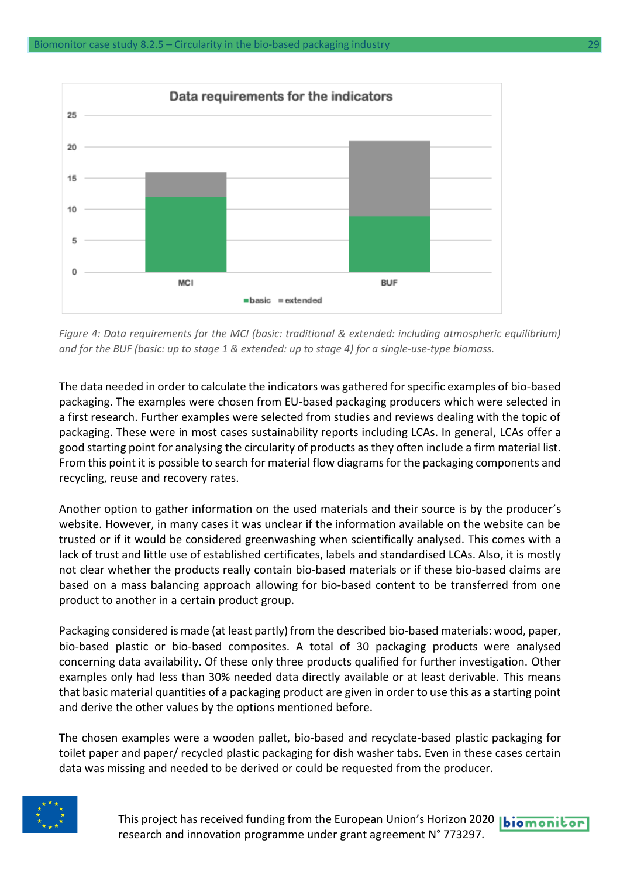

*Figure 4: Data requirements for the MCI (basic: traditional & extended: including atmospheric equilibrium) and for the BUF (basic: up to stage 1 & extended: up to stage 4) for a single-use-type biomass.*

The data needed in order to calculate the indicators was gathered for specific examples of bio-based packaging. The examples were chosen from EU-based packaging producers which were selected in a first research. Further examples were selected from studies and reviews dealing with the topic of packaging. These were in most cases sustainability reports including LCAs. In general, LCAs offer a good starting point for analysing the circularity of products as they often include a firm material list. From this point it is possible to search for material flow diagrams for the packaging components and recycling, reuse and recovery rates.

Another option to gather information on the used materials and their source is by the producer's website. However, in many cases it was unclear if the information available on the website can be trusted or if it would be considered greenwashing when scientifically analysed. This comes with a lack of trust and little use of established certificates, labels and standardised LCAs. Also, it is mostly not clear whether the products really contain bio-based materials or if these bio-based claims are based on a mass balancing approach allowing for bio-based content to be transferred from one product to another in a certain product group.

Packaging considered is made (at least partly) from the described bio-based materials: wood, paper, bio-based plastic or bio-based composites. A total of 30 packaging products were analysed concerning data availability. Of these only three products qualified for further investigation. Other examples only had less than 30% needed data directly available or at least derivable. This means that basic material quantities of a packaging product are given in order to use this as a starting point and derive the other values by the options mentioned before.

The chosen examples were a wooden pallet, bio-based and recyclate-based plastic packaging for toilet paper and paper/ recycled plastic packaging for dish washer tabs. Even in these cases certain data was missing and needed to be derived or could be requested from the producer.



This project has received funding from the European Union's Horizon 2020 **biomonitor** research and innovation programme under grant agreement N° 773297.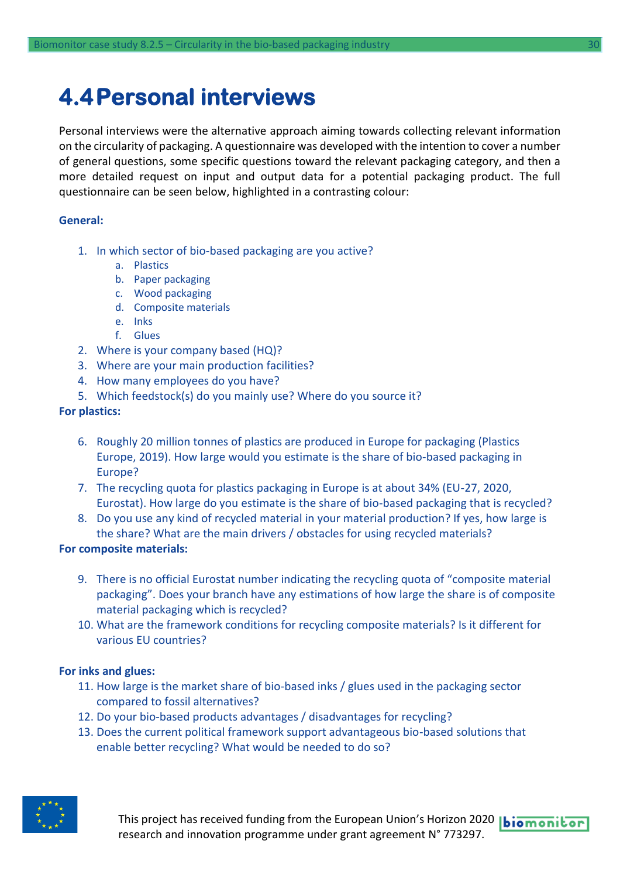### <span id="page-29-0"></span>**4.4Personal interviews**

Personal interviews were the alternative approach aiming towards collecting relevant information on the circularity of packaging. A questionnaire was developed with the intention to cover a number of general questions, some specific questions toward the relevant packaging category, and then a more detailed request on input and output data for a potential packaging product. The full questionnaire can be seen below, highlighted in a contrasting colour:

#### **General:**

- 1. In which sector of bio-based packaging are you active?
	- a. Plastics
	- b. Paper packaging
	- c. Wood packaging
	- d. Composite materials
	- e. Inks
	- f. Glues
- 2. Where is your company based (HQ)?
- 3. Where are your main production facilities?
- 4. How many employees do you have?
- 5. Which feedstock(s) do you mainly use? Where do you source it?

#### **For plastics:**

- 6. Roughly 20 million tonnes of plastics are produced in Europe for packaging (Plastics Europe, 2019). How large would you estimate is the share of bio-based packaging in Europe?
- 7. The recycling quota for plastics packaging in Europe is at about 34% (EU-27, 2020, Eurostat). How large do you estimate is the share of bio-based packaging that is recycled?
- 8. Do you use any kind of recycled material in your material production? If yes, how large is the share? What are the main drivers / obstacles for using recycled materials?

#### **For composite materials:**

- 9. There is no official Eurostat number indicating the recycling quota of "composite material packaging". Does your branch have any estimations of how large the share is of composite material packaging which is recycled?
- 10. What are the framework conditions for recycling composite materials? Is it different for various EU countries?

#### **For inks and glues:**

- 11. How large is the market share of bio-based inks / glues used in the packaging sector compared to fossil alternatives?
- 12. Do your bio-based products advantages / disadvantages for recycling?
- 13. Does the current political framework support advantageous bio-based solutions that enable better recycling? What would be needed to do so?

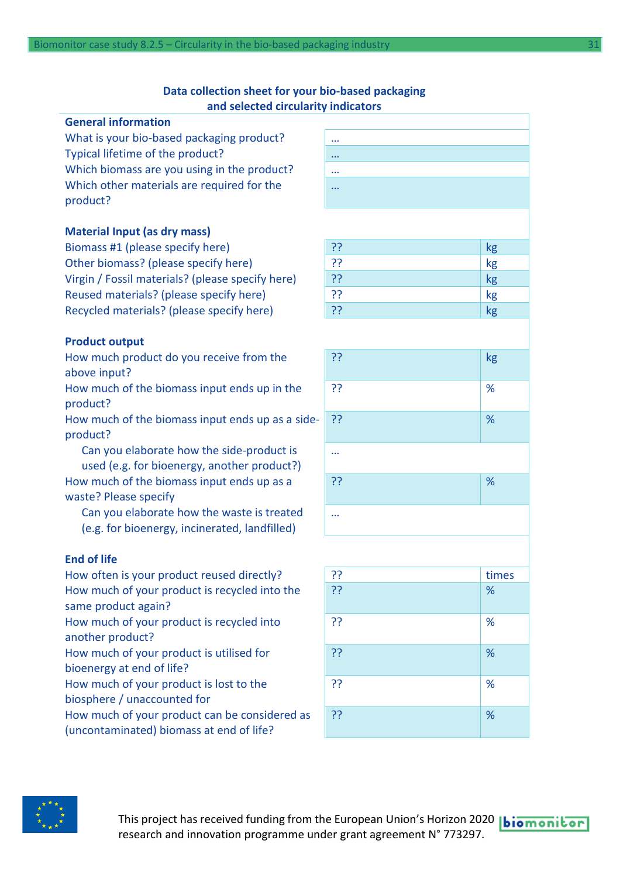#### **Data collection sheet for your bio-based packaging and selected circularity indicators**

### **General information** What is your bio-based packaging product? Typical lifetime of the product? … Which biomass are you using in the product? Which other materials are required for the product?

#### **Material Input (as dry mass)**

Biomass #1 (please specify here) Other biomass? (please specify here) Virgin / Fossil materials? (please specify here) Reused materials? (please specify here) Recycled materials? (please specify here)

#### **Product output**

How much product do you receive from the above input?

How much of the biomass input ends up in the product?

How much of the biomass input ends up as a sideproduct?

Can you elaborate how the side-product is used (e.g. for bioenergy, another product?) How much of the biomass input ends up as a waste? Please specify

Can you elaborate how the waste is treated (e.g. for bioenergy, incinerated, landfilled)

#### **End of life**

How often is your product reused directly?  $\begin{array}{ccc} | & ? \\ | & ? \end{array}$  times How much of your product is recycled into the same product again? How much of your product is recycled into another product? How much of your product is utilised for bioenergy at end of life? How much of your product is lost to the biosphere / unaccounted for How much of your product can be considered as

(uncontaminated) biomass at end of life?

| $\cdots$ |  |  |  |
|----------|--|--|--|
|          |  |  |  |
| $\cdots$ |  |  |  |
|          |  |  |  |
| $\cdots$ |  |  |  |
|          |  |  |  |
| $\cdots$ |  |  |  |
|          |  |  |  |
|          |  |  |  |

| $\overline{3}$ | kg                    |
|----------------|-----------------------|
| ??             | $k$ g                 |
| $\overline{3}$ | $k$ g                 |
| ??             | $\frac{1}{\text{kg}}$ |
| ??             | $k$ g                 |

| ?? | kg   |
|----|------|
| ?? | $\%$ |
| ?? | %    |
|    |      |
| ?? | $\%$ |
|    |      |
|    |      |

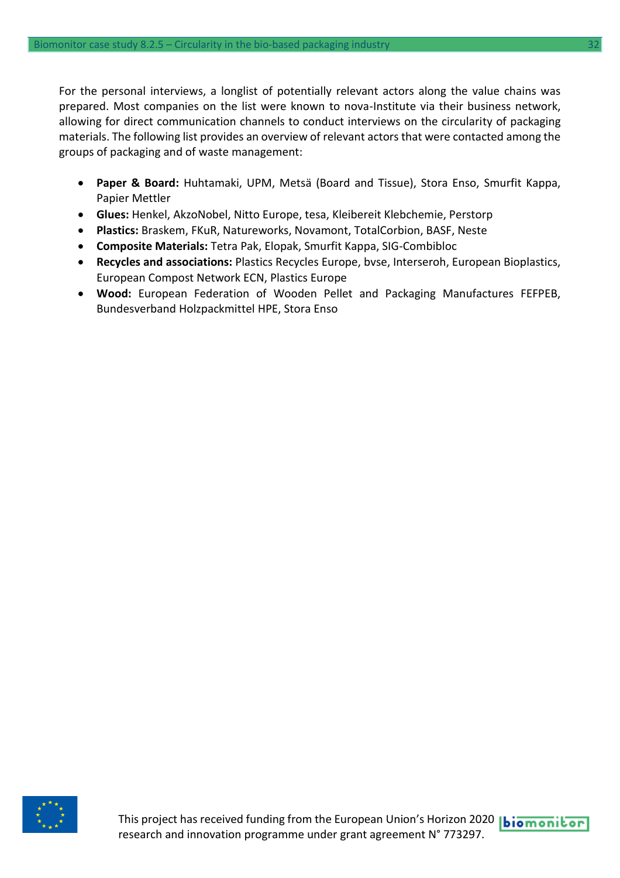For the personal interviews, a longlist of potentially relevant actors along the value chains was prepared. Most companies on the list were known to nova-Institute via their business network, allowing for direct communication channels to conduct interviews on the circularity of packaging materials. The following list provides an overview of relevant actors that were contacted among the groups of packaging and of waste management:

- **Paper & Board:** Huhtamaki, UPM, Metsä (Board and Tissue), Stora Enso, Smurfit Kappa, Papier Mettler
- **Glues:** Henkel, AkzoNobel, Nitto Europe, tesa, Kleibereit Klebchemie, Perstorp
- **Plastics:** Braskem, FKuR, Natureworks, Novamont, TotalCorbion, BASF, Neste
- **Composite Materials:** Tetra Pak, Elopak, Smurfit Kappa, SIG-Combibloc
- **Recycles and associations:** Plastics Recycles Europe, bvse, Interseroh, European Bioplastics, European Compost Network ECN, Plastics Europe
- **Wood:** European Federation of Wooden Pellet and Packaging Manufactures FEFPEB, Bundesverband Holzpackmittel HPE, Stora Enso

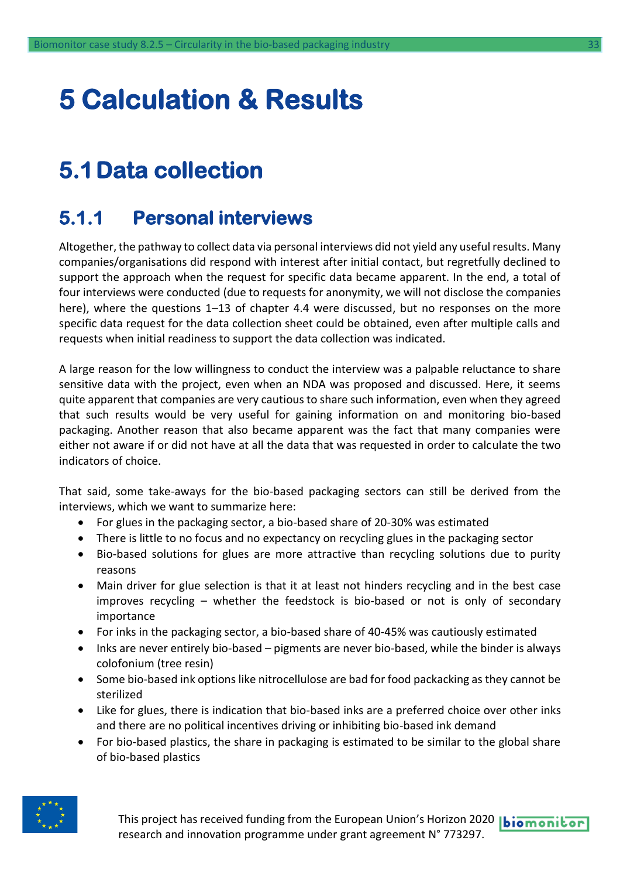# <span id="page-32-0"></span>**5 Calculation & Results**

### <span id="page-32-1"></span>**5.1Data collection**

### <span id="page-32-2"></span>**5.1.1 Personal interviews**

Altogether, the pathway to collect data via personal interviews did not yield any useful results. Many companies/organisations did respond with interest after initial contact, but regretfully declined to support the approach when the request for specific data became apparent. In the end, a total of four interviews were conducted (due to requests for anonymity, we will not disclose the companies here), where the questions 1–13 of chapter 4.4 were discussed, but no responses on the more specific data request for the data collection sheet could be obtained, even after multiple calls and requests when initial readiness to support the data collection was indicated.

A large reason for the low willingness to conduct the interview was a palpable reluctance to share sensitive data with the project, even when an NDA was proposed and discussed. Here, it seems quite apparent that companies are very cautious to share such information, even when they agreed that such results would be very useful for gaining information on and monitoring bio-based packaging. Another reason that also became apparent was the fact that many companies were either not aware if or did not have at all the data that was requested in order to calculate the two indicators of choice.

That said, some take-aways for the bio-based packaging sectors can still be derived from the interviews, which we want to summarize here:

- For glues in the packaging sector, a bio-based share of 20-30% was estimated
- There is little to no focus and no expectancy on recycling glues in the packaging sector
- Bio-based solutions for glues are more attractive than recycling solutions due to purity reasons
- Main driver for glue selection is that it at least not hinders recycling and in the best case improves recycling – whether the feedstock is bio-based or not is only of secondary importance
- For inks in the packaging sector, a bio-based share of 40-45% was cautiously estimated
- Inks are never entirely bio-based pigments are never bio-based, while the binder is always colofonium (tree resin)
- Some bio-based ink options like nitrocellulose are bad for food packacking as they cannot be sterilized
- Like for glues, there is indication that bio-based inks are a preferred choice over other inks and there are no political incentives driving or inhibiting bio-based ink demand
- For bio-based plastics, the share in packaging is estimated to be similar to the global share of bio-based plastics



This project has received funding from the European Union's Horizon 2020 **biomonitor** research and innovation programme under grant agreement N° 773297.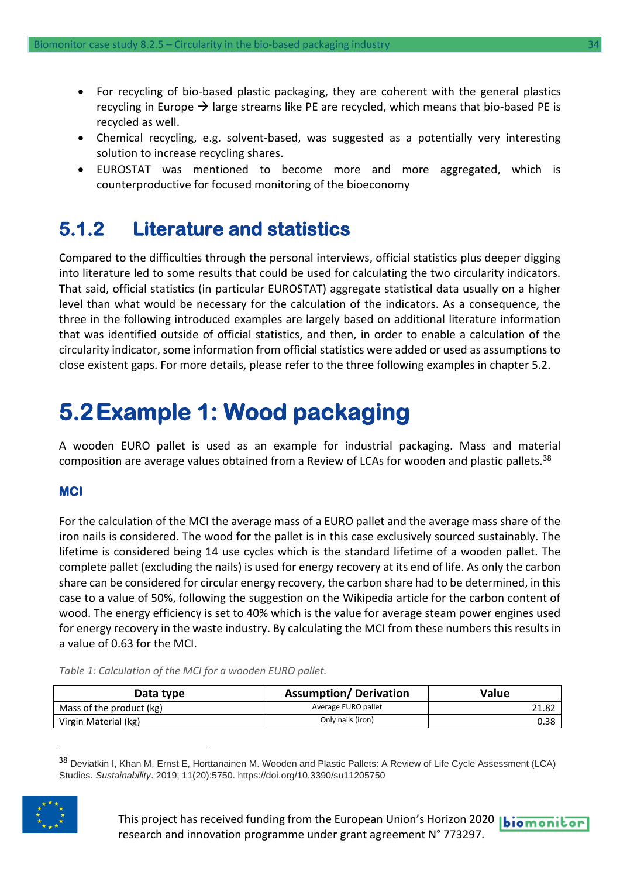- For recycling of bio-based plastic packaging, they are coherent with the general plastics recycling in Europe  $\rightarrow$  large streams like PE are recycled, which means that bio-based PE is recycled as well.
- Chemical recycling, e.g. solvent-based, was suggested as a potentially very interesting solution to increase recycling shares.
- EUROSTAT was mentioned to become more and more aggregated, which is counterproductive for focused monitoring of the bioeconomy

### <span id="page-33-0"></span>**5.1.2 Literature and statistics**

Compared to the difficulties through the personal interviews, official statistics plus deeper digging into literature led to some results that could be used for calculating the two circularity indicators. That said, official statistics (in particular EUROSTAT) aggregate statistical data usually on a higher level than what would be necessary for the calculation of the indicators. As a consequence, the three in the following introduced examples are largely based on additional literature information that was identified outside of official statistics, and then, in order to enable a calculation of the circularity indicator, some information from official statistics were added or used as assumptions to close existent gaps. For more details, please refer to the three following examples in chapter 5.2.

### <span id="page-33-1"></span>**5.2Example 1: Wood packaging**

A wooden EURO pallet is used as an example for industrial packaging. Mass and material composition are average values obtained from a Review of LCAs for wooden and plastic pallets.<sup>38</sup>

#### **MCI**

For the calculation of the MCI the average mass of a EURO pallet and the average mass share of the iron nails is considered. The wood for the pallet is in this case exclusively sourced sustainably. The lifetime is considered being 14 use cycles which is the standard lifetime of a wooden pallet. The complete pallet (excluding the nails) is used for energy recovery at its end of life. As only the carbon share can be considered for circular energy recovery, the carbon share had to be determined, in this case to a value of 50%, following the suggestion on the Wikipedia article for the carbon content of wood. The energy efficiency is set to 40% which is the value for average steam power engines used for energy recovery in the waste industry. By calculating the MCI from these numbers this results in a value of 0.63 for the MCI.

|  |  | Table 1: Calculation of the MCI for a wooden EURO pallet. |
|--|--|-----------------------------------------------------------|
|--|--|-----------------------------------------------------------|

| Data type                | <b>Assumption/Derivation</b> | Value |
|--------------------------|------------------------------|-------|
| Mass of the product (kg) | Average EURO pallet          | 21.82 |
| Virgin Material (kg)     | Only nails (iron)            | 0.38  |

38 Deviatkin I, Khan M, Ernst E, Horttanainen M. Wooden and Plastic Pallets: A Review of Life Cycle Assessment (LCA) Studies. *Sustainability*. 2019; 11(20):5750. https://doi.org/10.3390/su11205750

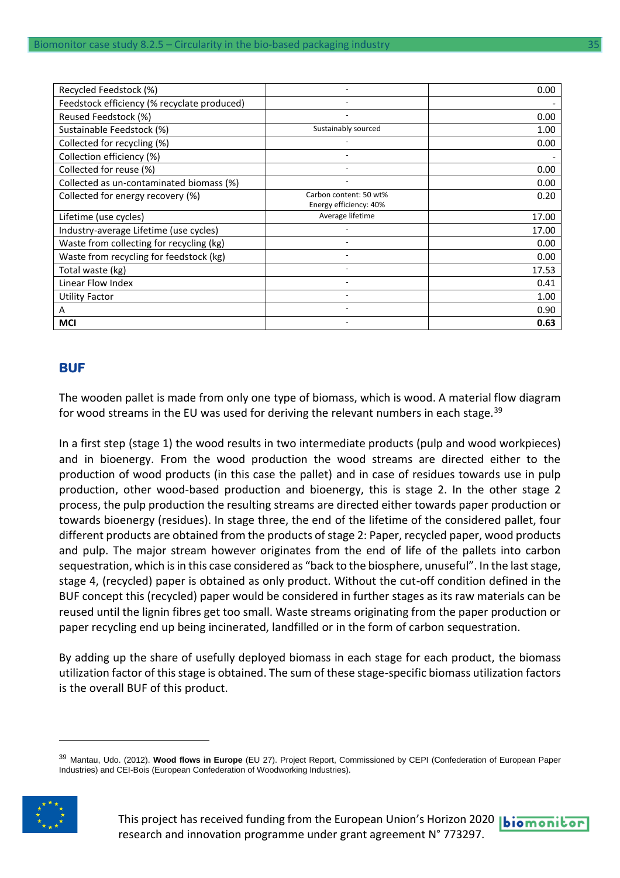| Recycled Feedstock (%)                      |                                                  | 0.00  |
|---------------------------------------------|--------------------------------------------------|-------|
| Feedstock efficiency (% recyclate produced) |                                                  |       |
| Reused Feedstock (%)                        |                                                  | 0.00  |
| Sustainable Feedstock (%)                   | Sustainably sourced                              | 1.00  |
| Collected for recycling (%)                 |                                                  | 0.00  |
| Collection efficiency (%)                   |                                                  |       |
| Collected for reuse (%)                     |                                                  | 0.00  |
| Collected as un-contaminated biomass (%)    |                                                  | 0.00  |
| Collected for energy recovery (%)           | Carbon content: 50 wt%<br>Energy efficiency: 40% | 0.20  |
| Lifetime (use cycles)                       | Average lifetime                                 | 17.00 |
| Industry-average Lifetime (use cycles)      |                                                  | 17.00 |
| Waste from collecting for recycling (kg)    |                                                  | 0.00  |
| Waste from recycling for feedstock (kg)     |                                                  | 0.00  |
| Total waste (kg)                            |                                                  | 17.53 |
| Linear Flow Index                           |                                                  | 0.41  |
| Utility Factor                              |                                                  | 1.00  |
| A                                           |                                                  | 0.90  |
| MCI                                         |                                                  | 0.63  |

#### **BUF**

The wooden pallet is made from only one type of biomass, which is wood. A material flow diagram for wood streams in the EU was used for deriving the relevant numbers in each stage.<sup>39</sup>

In a first step (stage 1) the wood results in two intermediate products (pulp and wood workpieces) and in bioenergy. From the wood production the wood streams are directed either to the production of wood products (in this case the pallet) and in case of residues towards use in pulp production, other wood-based production and bioenergy, this is stage 2. In the other stage 2 process, the pulp production the resulting streams are directed either towards paper production or towards bioenergy (residues). In stage three, the end of the lifetime of the considered pallet, four different products are obtained from the products of stage 2: Paper, recycled paper, wood products and pulp. The major stream however originates from the end of life of the pallets into carbon sequestration, which is in this case considered as "back to the biosphere, unuseful". In the last stage, stage 4, (recycled) paper is obtained as only product. Without the cut-off condition defined in the BUF concept this (recycled) paper would be considered in further stages as its raw materials can be reused until the lignin fibres get too small. Waste streams originating from the paper production or paper recycling end up being incinerated, landfilled or in the form of carbon sequestration.

By adding up the share of usefully deployed biomass in each stage for each product, the biomass utilization factor of this stage is obtained. The sum of these stage-specific biomass utilization factors is the overall BUF of this product.

<sup>39</sup> Mantau, Udo. (2012). **Wood flows in Europe** (EU 27). Project Report, Commissioned by CEPI (Confederation of European Paper Industries) and CEI-Bois (European Confederation of Woodworking Industries).



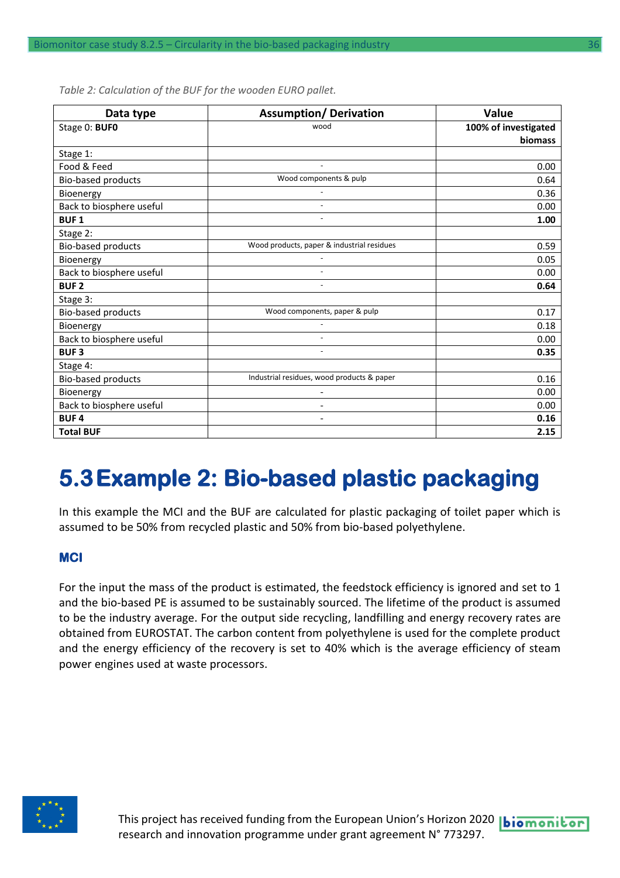| Data type                | <b>Assumption/ Derivation</b>              | Value                |
|--------------------------|--------------------------------------------|----------------------|
| Stage 0: BUFO            | wood                                       | 100% of investigated |
|                          |                                            | <b>biomass</b>       |
| Stage 1:                 |                                            |                      |
| Food & Feed              |                                            | 0.00                 |
| Bio-based products       | Wood components & pulp                     | 0.64                 |
| Bioenergy                |                                            | 0.36                 |
| Back to biosphere useful |                                            | 0.00                 |
| <b>BUF1</b>              |                                            | 1.00                 |
| Stage 2:                 |                                            |                      |
| Bio-based products       | Wood products, paper & industrial residues | 0.59                 |
| Bioenergy                |                                            | 0.05                 |
| Back to biosphere useful |                                            | 0.00                 |
| <b>BUF2</b>              |                                            | 0.64                 |
| Stage 3:                 |                                            |                      |
| Bio-based products       | Wood components, paper & pulp              | 0.17                 |
| Bioenergy                |                                            | 0.18                 |
| Back to biosphere useful | $\overline{a}$                             | 0.00                 |
| <b>BUF3</b>              |                                            | 0.35                 |
| Stage 4:                 |                                            |                      |
| Bio-based products       | Industrial residues, wood products & paper | 0.16                 |
| Bioenergy                |                                            | 0.00                 |
| Back to biosphere useful |                                            | 0.00                 |
| <b>BUF4</b>              | $\overline{\phantom{a}}$                   | 0.16                 |
| <b>Total BUF</b>         |                                            | 2.15                 |

*Table 2: Calculation of the BUF for the wooden EURO pallet.*

### <span id="page-35-0"></span>**5.3Example 2: Bio-based plastic packaging**

In this example the MCI and the BUF are calculated for plastic packaging of toilet paper which is assumed to be 50% from recycled plastic and 50% from bio-based polyethylene.

#### **MCI**

For the input the mass of the product is estimated, the feedstock efficiency is ignored and set to 1 and the bio-based PE is assumed to be sustainably sourced. The lifetime of the product is assumed to be the industry average. For the output side recycling, landfilling and energy recovery rates are obtained from EUROSTAT. The carbon content from polyethylene is used for the complete product and the energy efficiency of the recovery is set to 40% which is the average efficiency of steam power engines used at waste processors.

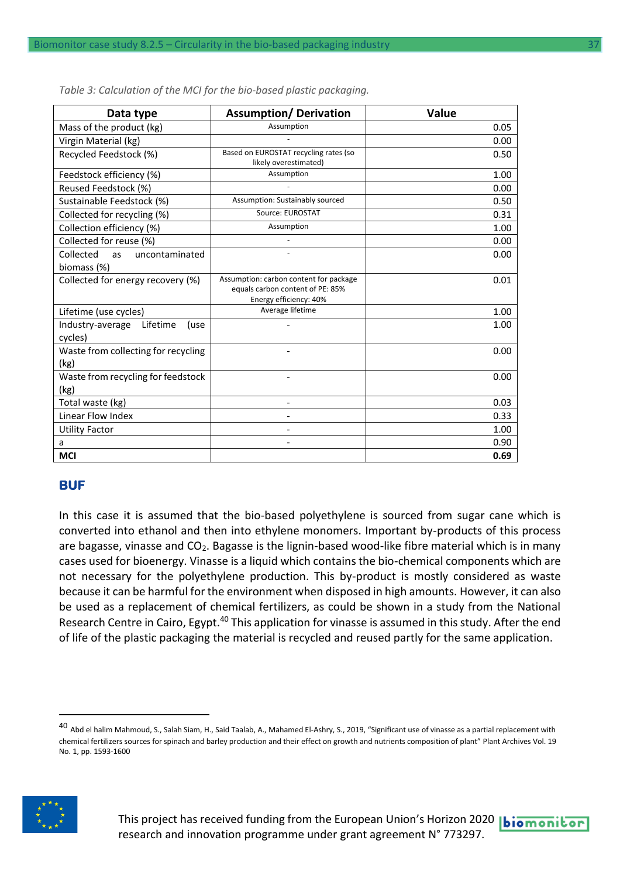| Data type                                               | <b>Assumption/ Derivation</b>                                                                        | Value |
|---------------------------------------------------------|------------------------------------------------------------------------------------------------------|-------|
| Mass of the product (kg)                                | Assumption                                                                                           | 0.05  |
| Virgin Material (kg)                                    |                                                                                                      | 0.00  |
| Recycled Feedstock (%)                                  | Based on EUROSTAT recycling rates (so<br>likely overestimated)                                       | 0.50  |
| Feedstock efficiency (%)                                | Assumption                                                                                           | 1.00  |
| Reused Feedstock (%)                                    |                                                                                                      | 0.00  |
| Sustainable Feedstock (%)                               | Assumption: Sustainably sourced                                                                      | 0.50  |
| Collected for recycling (%)                             | Source: EUROSTAT                                                                                     | 0.31  |
| Collection efficiency (%)                               | Assumption                                                                                           | 1.00  |
| Collected for reuse (%)                                 |                                                                                                      | 0.00  |
| Collected<br>uncontaminated<br><b>as</b><br>biomass (%) |                                                                                                      | 0.00  |
| Collected for energy recovery (%)                       | Assumption: carbon content for package<br>equals carbon content of PE: 85%<br>Energy efficiency: 40% | 0.01  |
| Lifetime (use cycles)                                   | Average lifetime                                                                                     | 1.00  |
| Industry-average<br>Lifetime<br>(use<br>cycles)         |                                                                                                      | 1.00  |
| Waste from collecting for recycling<br>(kg)             |                                                                                                      | 0.00  |
| Waste from recycling for feedstock<br>(kg)              |                                                                                                      | 0.00  |
| Total waste (kg)                                        |                                                                                                      | 0.03  |
| Linear Flow Index                                       |                                                                                                      | 0.33  |
| <b>Utility Factor</b>                                   |                                                                                                      | 1.00  |
| a                                                       |                                                                                                      | 0.90  |
| <b>MCI</b>                                              |                                                                                                      | 0.69  |

*Table 3: Calculation of the MCI for the bio-based plastic packaging.*

#### **BUF**

In this case it is assumed that the bio-based polyethylene is sourced from sugar cane which is converted into ethanol and then into ethylene monomers. Important by-products of this process are bagasse, vinasse and CO<sub>2</sub>. Bagasse is the lignin-based wood-like fibre material which is in many cases used for bioenergy. Vinasse is a liquid which contains the bio-chemical components which are not necessary for the polyethylene production. This by-product is mostly considered as waste because it can be harmful for the environment when disposed in high amounts. However, it can also be used as a replacement of chemical fertilizers, as could be shown in a study from the National Research Centre in Cairo, Egypt.<sup>40</sup> This application for vinasse is assumed in this study. After the end of life of the plastic packaging the material is recycled and reused partly for the same application.

<sup>&</sup>lt;sup>40</sup> Abd el halim Mahmoud, S., Salah Siam, H., Said Taalab, A., Mahamed El-Ashry, S., 2019, "Significant use of vinasse as a partial replacement with chemical fertilizers sources for spinach and barley production and their effect on growth and nutrients composition of plant" Plant Archives Vol. 19 No. 1, pp. 1593-1600

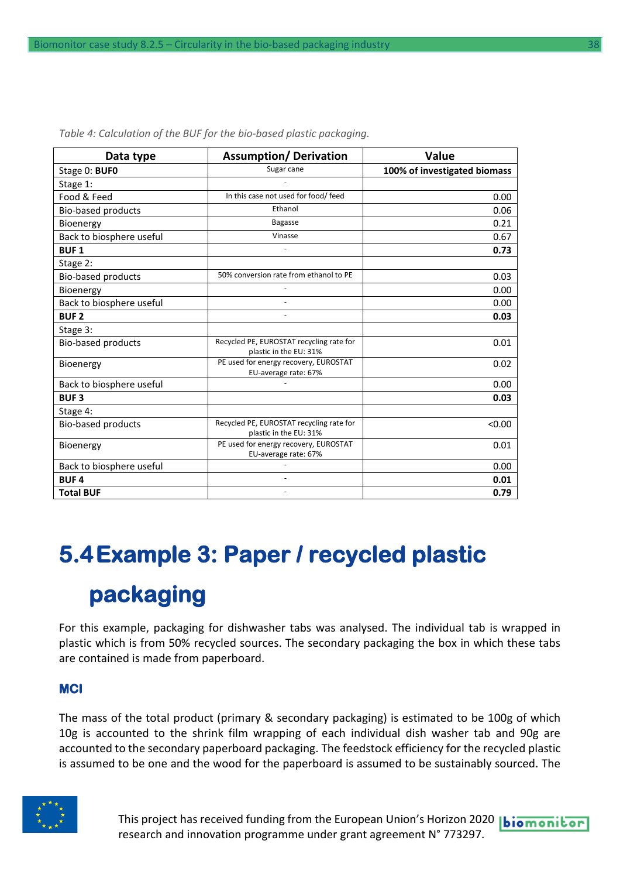| Data type                 | <b>Assumption/ Derivation</b>                                      | Value                        |
|---------------------------|--------------------------------------------------------------------|------------------------------|
| Stage 0: BUFO             | Sugar cane                                                         | 100% of investigated biomass |
| Stage 1:                  |                                                                    |                              |
| Food & Feed               | In this case not used for food/ feed                               | 0.00                         |
| <b>Bio-based products</b> | Ethanol                                                            | 0.06                         |
| Bioenergy                 | <b>Bagasse</b>                                                     | 0.21                         |
| Back to biosphere useful  | Vinasse                                                            | 0.67                         |
| <b>BUF1</b>               |                                                                    | 0.73                         |
| Stage 2:                  |                                                                    |                              |
| Bio-based products        | 50% conversion rate from ethanol to PE                             | 0.03                         |
| Bioenergy                 |                                                                    | 0.00                         |
| Back to biosphere useful  |                                                                    | 0.00                         |
| <b>BUF2</b>               |                                                                    | 0.03                         |
| Stage 3:                  |                                                                    |                              |
| <b>Bio-based products</b> | Recycled PE, EUROSTAT recycling rate for<br>plastic in the EU: 31% | 0.01                         |
| Bioenergy                 | PE used for energy recovery, EUROSTAT<br>EU-average rate: 67%      | 0.02                         |
| Back to biosphere useful  |                                                                    | 0.00                         |
| <b>BUF3</b>               |                                                                    | 0.03                         |
| Stage 4:                  |                                                                    |                              |
| <b>Bio-based products</b> | Recycled PE, EUROSTAT recycling rate for<br>plastic in the EU: 31% | < 0.00                       |
| Bioenergy                 | PE used for energy recovery, EUROSTAT<br>EU-average rate: 67%      | 0.01                         |
| Back to biosphere useful  |                                                                    | 0.00                         |
| <b>BUF4</b>               |                                                                    | 0.01                         |
| <b>Total BUF</b>          |                                                                    | 0.79                         |

*Table 4: Calculation of the BUF for the bio-based plastic packaging.*

## <span id="page-37-0"></span>**5.4Example 3: Paper / recycled plastic packaging**

For this example, packaging for dishwasher tabs was analysed. The individual tab is wrapped in plastic which is from 50% recycled sources. The secondary packaging the box in which these tabs are contained is made from paperboard.

#### **MCI**

The mass of the total product (primary & secondary packaging) is estimated to be 100g of which 10g is accounted to the shrink film wrapping of each individual dish washer tab and 90g are accounted to the secondary paperboard packaging. The feedstock efficiency for the recycled plastic is assumed to be one and the wood for the paperboard is assumed to be sustainably sourced. The



This project has received funding from the European Union's Horizon 2020 **biomonitor** research and innovation programme under grant agreement N° 773297.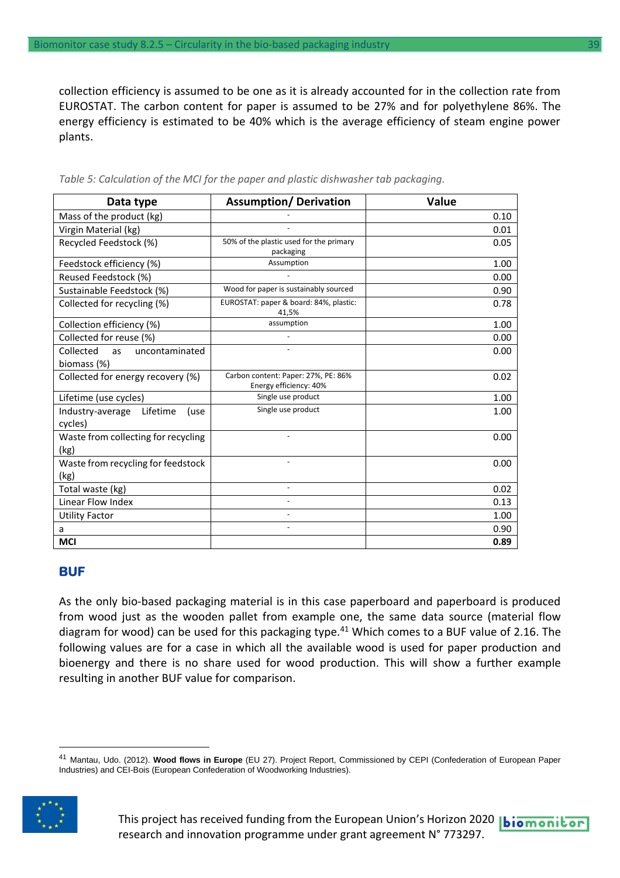collection efficiency is assumed to be one as it is already accounted for in the collection rate from EUROSTAT. The carbon content for paper is assumed to be 27% and for polyethylene 86%. The energy efficiency is estimated to be 40% which is the average efficiency of steam engine power plants.

| Data type                                               | <b>Assumption/ Derivation</b>                                 | <b>Value</b> |
|---------------------------------------------------------|---------------------------------------------------------------|--------------|
| Mass of the product (kg)                                |                                                               | 0.10         |
| Virgin Material (kg)                                    |                                                               | 0.01         |
| Recycled Feedstock (%)                                  | 50% of the plastic used for the primary<br>packaging          | 0.05         |
| Feedstock efficiency (%)                                | Assumption                                                    | 1.00         |
| Reused Feedstock (%)                                    |                                                               | 0.00         |
| Sustainable Feedstock (%)                               | Wood for paper is sustainably sourced                         | 0.90         |
| Collected for recycling (%)                             | EUROSTAT: paper & board: 84%, plastic:<br>41,5%               | 0.78         |
| Collection efficiency (%)                               | assumption                                                    | 1.00         |
| Collected for reuse (%)                                 |                                                               | 0.00         |
| Collected<br>uncontaminated<br><b>as</b><br>biomass (%) |                                                               | 0.00         |
| Collected for energy recovery (%)                       | Carbon content: Paper: 27%, PE: 86%<br>Energy efficiency: 40% | 0.02         |
| Lifetime (use cycles)                                   | Single use product                                            | 1.00         |
| Industry-average<br>Lifetime<br>(use<br>cycles)         | Single use product                                            | 1.00         |
| Waste from collecting for recycling<br>(kg)             |                                                               | 0.00         |
| Waste from recycling for feedstock<br>(kg)              | $\blacksquare$                                                | 0.00         |
| Total waste (kg)                                        |                                                               | 0.02         |
| Linear Flow Index                                       |                                                               | 0.13         |
| <b>Utility Factor</b>                                   |                                                               | 1.00         |
| a                                                       |                                                               | 0.90         |
| <b>MCI</b>                                              |                                                               | 0.89         |

*Table 5: Calculation of the MCI for the paper and plastic dishwasher tab packaging.*

#### **BUF**

As the only bio-based packaging material is in this case paperboard and paperboard is produced from wood just as the wooden pallet from example one, the same data source (material flow diagram for wood) can be used for this packaging type.<sup>41</sup> Which comes to a BUF value of 2.16. The following values are for a case in which all the available wood is used for paper production and bioenergy and there is no share used for wood production. This will show a further example resulting in another BUF value for comparison.

<sup>41</sup> Mantau, Udo. (2012). **Wood flows in Europe** (EU 27). Project Report, Commissioned by CEPI (Confederation of European Paper Industries) and CEI-Bois (European Confederation of Woodworking Industries).

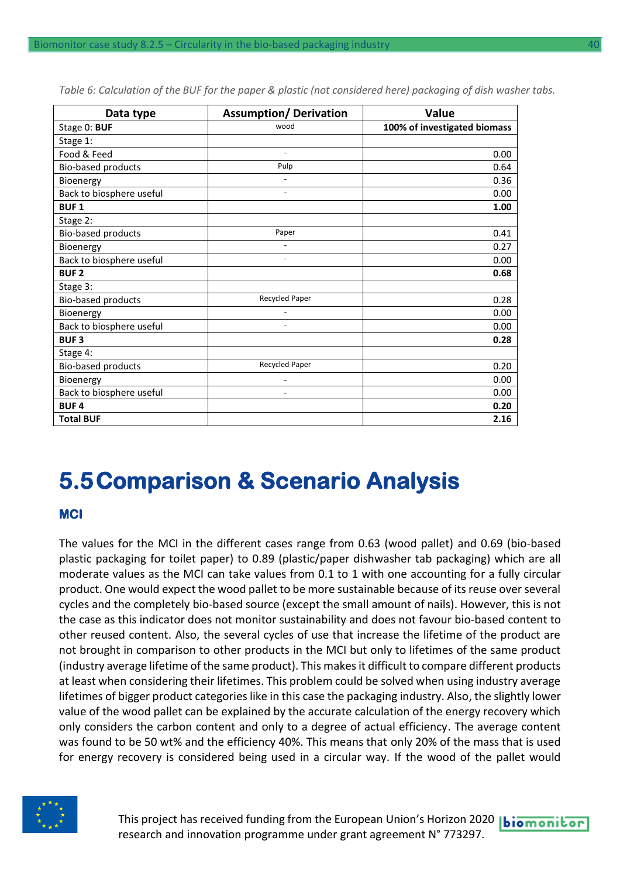| Data type                | <b>Assumption/Derivation</b> | <b>Value</b>                 |
|--------------------------|------------------------------|------------------------------|
| Stage 0: BUF             | wood                         | 100% of investigated biomass |
| Stage 1:                 |                              |                              |
| Food & Feed              | $\overline{\phantom{a}}$     | 0.00                         |
| Bio-based products       | Pulp                         | 0.64                         |
| Bioenergy                |                              | 0.36                         |
| Back to biosphere useful | $\overline{\phantom{a}}$     | 0.00                         |
| <b>BUF1</b>              |                              | 1.00                         |
| Stage 2:                 |                              |                              |
| Bio-based products       | Paper                        | 0.41                         |
| Bioenergy                |                              | 0.27                         |
| Back to biosphere useful | $\ddot{\phantom{1}}$         | 0.00                         |
| <b>BUF2</b>              |                              | 0.68                         |
| Stage 3:                 |                              |                              |
| Bio-based products       | Recycled Paper               | 0.28                         |
| Bioenergy                |                              | 0.00                         |
| Back to biosphere useful |                              | 0.00                         |
| <b>BUF3</b>              |                              | 0.28                         |
| Stage 4:                 |                              |                              |
| Bio-based products       | Recycled Paper               | 0.20                         |
| Bioenergy                |                              | 0.00                         |
| Back to biosphere useful |                              | 0.00                         |
| <b>BUF4</b>              |                              | 0.20                         |
| <b>Total BUF</b>         |                              | 2.16                         |

*Table 6: Calculation of the BUF for the paper & plastic (not considered here) packaging of dish washer tabs.*

### <span id="page-39-0"></span>**5.5Comparison & Scenario Analysis**

#### **MCI**

The values for the MCI in the different cases range from 0.63 (wood pallet) and 0.69 (bio-based plastic packaging for toilet paper) to 0.89 (plastic/paper dishwasher tab packaging) which are all moderate values as the MCI can take values from 0.1 to 1 with one accounting for a fully circular product. One would expect the wood pallet to be more sustainable because of its reuse over several cycles and the completely bio-based source (except the small amount of nails). However, this is not the case as this indicator does not monitor sustainability and does not favour bio-based content to other reused content. Also, the several cycles of use that increase the lifetime of the product are not brought in comparison to other products in the MCI but only to lifetimes of the same product (industry average lifetime of the same product). This makes it difficult to compare different products at least when considering their lifetimes. This problem could be solved when using industry average lifetimes of bigger product categories like in this case the packaging industry. Also, the slightly lower value of the wood pallet can be explained by the accurate calculation of the energy recovery which only considers the carbon content and only to a degree of actual efficiency. The average content was found to be 50 wt% and the efficiency 40%. This means that only 20% of the mass that is used for energy recovery is considered being used in a circular way. If the wood of the pallet would



This project has received funding from the European Union's Horizon 2020 | biomonitor research and innovation programme under grant agreement N° 773297.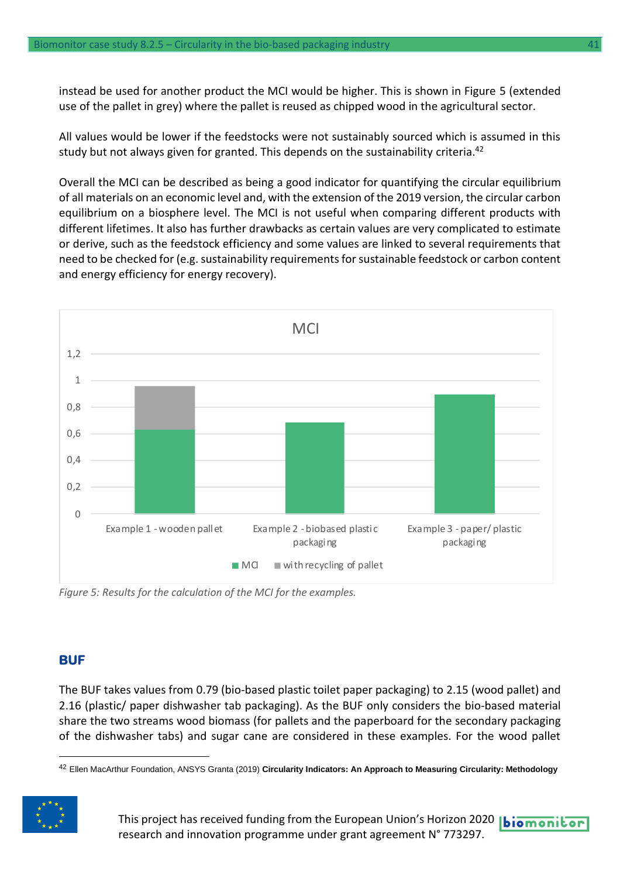instead be used for another product the MCI would be higher. This is shown in Figure 5 (extended use of the pallet in grey) where the pallet is reused as chipped wood in the agricultural sector.

All values would be lower if the feedstocks were not sustainably sourced which is assumed in this study but not always given for granted. This depends on the sustainability criteria. 42

Overall the MCI can be described as being a good indicator for quantifying the circular equilibrium of all materials on an economic level and, with the extension of the 2019 version, the circular carbon equilibrium on a biosphere level. The MCI is not useful when comparing different products with different lifetimes. It also has further drawbacks as certain values are very complicated to estimate or derive, such as the feedstock efficiency and some values are linked to several requirements that need to be checked for (e.g. sustainability requirements for sustainable feedstock or carbon content and energy efficiency for energy recovery).



*Figure 5: Results for the calculation of the MCI for the examples.*

#### **BUF**

The BUF takes values from 0.79 (bio-based plastic toilet paper packaging) to 2.15 (wood pallet) and 2.16 (plastic/ paper dishwasher tab packaging). As the BUF only considers the bio-based material share the two streams wood biomass (for pallets and the paperboard for the secondary packaging of the dishwasher tabs) and sugar cane are considered in these examples. For the wood pallet

<sup>42</sup> Ellen MacArthur Foundation, ANSYS Granta (2019) **Circularity Indicators: An Approach to Measuring Circularity: Methodology**

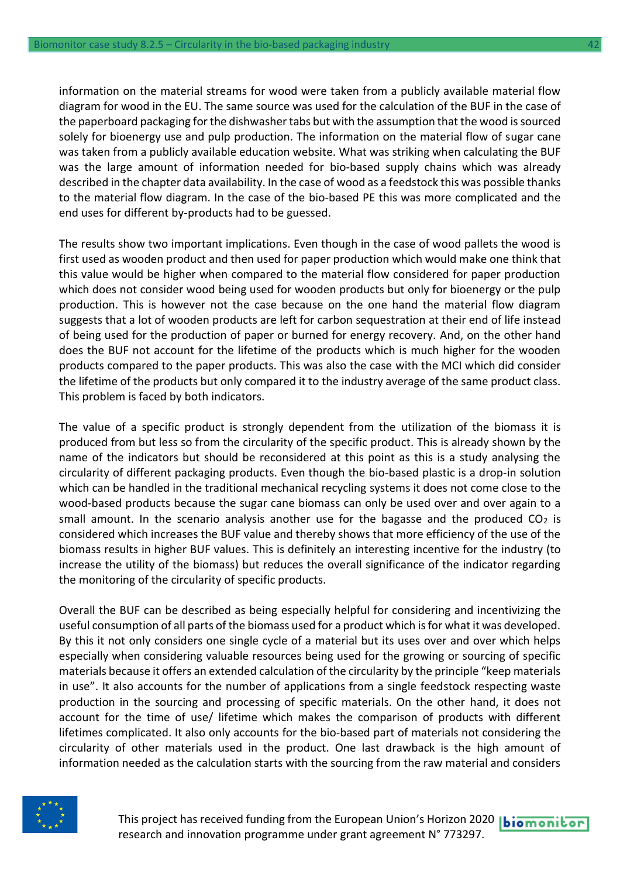information on the material streams for wood were taken from a publicly available material flow diagram for wood in the EU. The same source was used for the calculation of the BUF in the case of the paperboard packaging for the dishwasher tabs but with the assumption that the wood is sourced solely for bioenergy use and pulp production. The information on the material flow of sugar cane was taken from a publicly available education website. What was striking when calculating the BUF was the large amount of information needed for bio-based supply chains which was already described in the chapter data availability. In the case of wood as a feedstock this was possible thanks to the material flow diagram. In the case of the bio-based PE this was more complicated and the end uses for different by-products had to be guessed.

The results show two important implications. Even though in the case of wood pallets the wood is first used as wooden product and then used for paper production which would make one think that this value would be higher when compared to the material flow considered for paper production which does not consider wood being used for wooden products but only for bioenergy or the pulp production. This is however not the case because on the one hand the material flow diagram suggests that a lot of wooden products are left for carbon sequestration at their end of life instead of being used for the production of paper or burned for energy recovery. And, on the other hand does the BUF not account for the lifetime of the products which is much higher for the wooden products compared to the paper products. This was also the case with the MCI which did consider the lifetime of the products but only compared it to the industry average of the same product class. This problem is faced by both indicators.

The value of a specific product is strongly dependent from the utilization of the biomass it is produced from but less so from the circularity of the specific product. This is already shown by the name of the indicators but should be reconsidered at this point as this is a study analysing the circularity of different packaging products. Even though the bio-based plastic is a drop-in solution which can be handled in the traditional mechanical recycling systems it does not come close to the wood-based products because the sugar cane biomass can only be used over and over again to a small amount. In the scenario analysis another use for the bagasse and the produced  $CO<sub>2</sub>$  is considered which increases the BUF value and thereby shows that more efficiency of the use of the biomass results in higher BUF values. This is definitely an interesting incentive for the industry (to increase the utility of the biomass) but reduces the overall significance of the indicator regarding the monitoring of the circularity of specific products.

Overall the BUF can be described as being especially helpful for considering and incentivizing the useful consumption of all parts of the biomass used for a product which is for what it was developed. By this it not only considers one single cycle of a material but its uses over and over which helps especially when considering valuable resources being used for the growing or sourcing of specific materials because it offers an extended calculation of the circularity by the principle "keep materials in use". It also accounts for the number of applications from a single feedstock respecting waste production in the sourcing and processing of specific materials. On the other hand, it does not account for the time of use/ lifetime which makes the comparison of products with different lifetimes complicated. It also only accounts for the bio-based part of materials not considering the circularity of other materials used in the product. One last drawback is the high amount of information needed as the calculation starts with the sourcing from the raw material and considers



This project has received funding from the European Union's Horizon 2020 | biomonitor research and innovation programme under grant agreement N° 773297.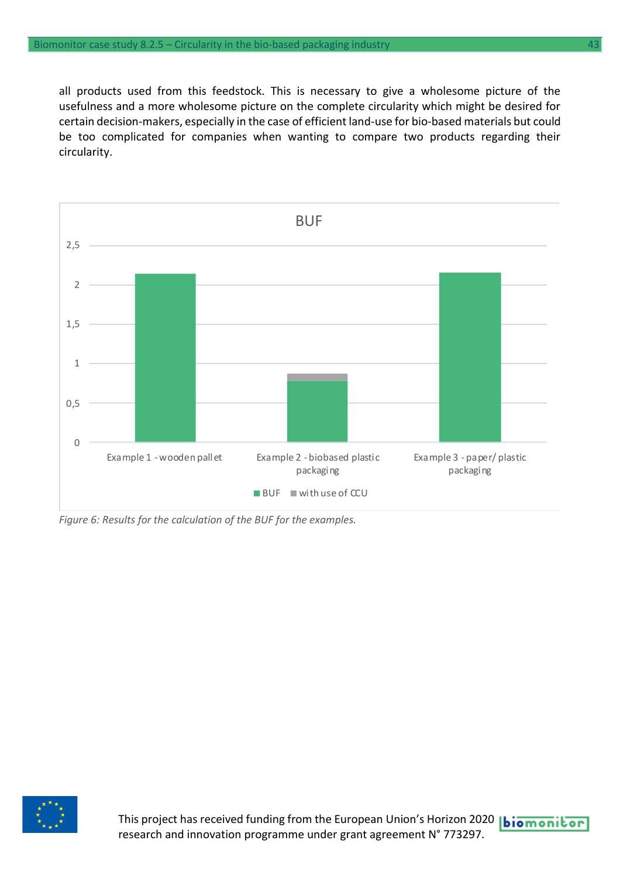all products used from this feedstock. This is necessary to give a wholesome picture of the usefulness and a more wholesome picture on the complete circularity which might be desired for certain decision-makers, especially in the case of efficient land-use for bio-based materials but could be too complicated for companies when wanting to compare two products regarding their circularity.



*Figure 6: Results for the calculation of the BUF for the examples.*

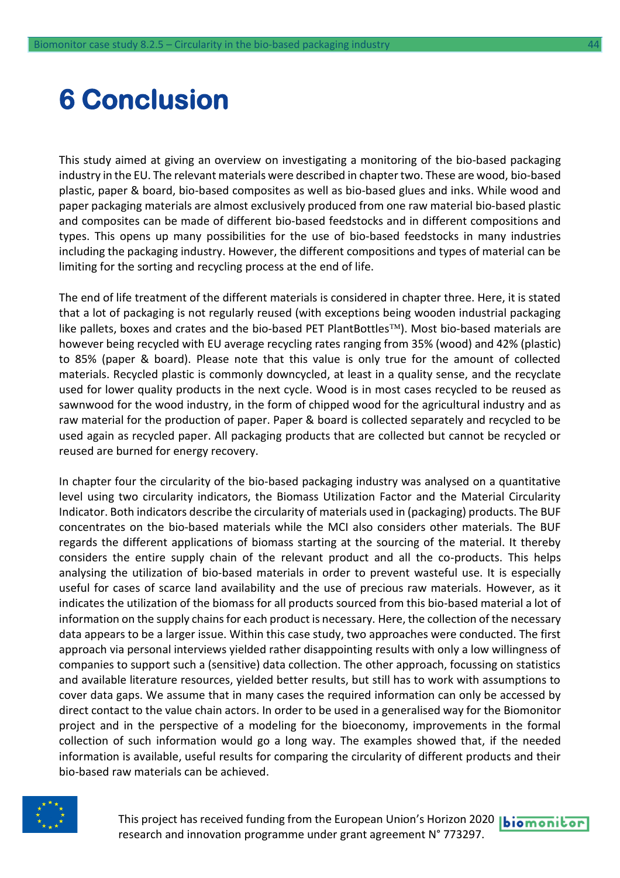## <span id="page-43-0"></span>**6 Conclusion**

This study aimed at giving an overview on investigating a monitoring of the bio-based packaging industry in the EU. The relevant materials were described in chapter two. These are wood, bio-based plastic, paper & board, bio-based composites as well as bio-based glues and inks. While wood and paper packaging materials are almost exclusively produced from one raw material bio-based plastic and composites can be made of different bio-based feedstocks and in different compositions and types. This opens up many possibilities for the use of bio-based feedstocks in many industries including the packaging industry. However, the different compositions and types of material can be limiting for the sorting and recycling process at the end of life.

The end of life treatment of the different materials is considered in chapter three. Here, it is stated that a lot of packaging is not regularly reused (with exceptions being wooden industrial packaging like pallets, boxes and crates and the bio-based PET PlantBottles<sup>TM</sup>). Most bio-based materials are however being recycled with EU average recycling rates ranging from 35% (wood) and 42% (plastic) to 85% (paper & board). Please note that this value is only true for the amount of collected materials. Recycled plastic is commonly downcycled, at least in a quality sense, and the recyclate used for lower quality products in the next cycle. Wood is in most cases recycled to be reused as sawnwood for the wood industry, in the form of chipped wood for the agricultural industry and as raw material for the production of paper. Paper & board is collected separately and recycled to be used again as recycled paper. All packaging products that are collected but cannot be recycled or reused are burned for energy recovery.

In chapter four the circularity of the bio-based packaging industry was analysed on a quantitative level using two circularity indicators, the Biomass Utilization Factor and the Material Circularity Indicator. Both indicators describe the circularity of materials used in (packaging) products. The BUF concentrates on the bio-based materials while the MCI also considers other materials. The BUF regards the different applications of biomass starting at the sourcing of the material. It thereby considers the entire supply chain of the relevant product and all the co-products. This helps analysing the utilization of bio-based materials in order to prevent wasteful use. It is especially useful for cases of scarce land availability and the use of precious raw materials. However, as it indicates the utilization of the biomass for all products sourced from this bio-based material a lot of information on the supply chains for each product is necessary. Here, the collection of the necessary data appears to be a larger issue. Within this case study, two approaches were conducted. The first approach via personal interviews yielded rather disappointing results with only a low willingness of companies to support such a (sensitive) data collection. The other approach, focussing on statistics and available literature resources, yielded better results, but still has to work with assumptions to cover data gaps. We assume that in many cases the required information can only be accessed by direct contact to the value chain actors. In order to be used in a generalised way for the Biomonitor project and in the perspective of a modeling for the bioeconomy, improvements in the formal collection of such information would go a long way. The examples showed that, if the needed information is available, useful results for comparing the circularity of different products and their bio-based raw materials can be achieved.



This project has received funding from the European Union's Horizon 2020 | biomonitor research and innovation programme under grant agreement N° 773297.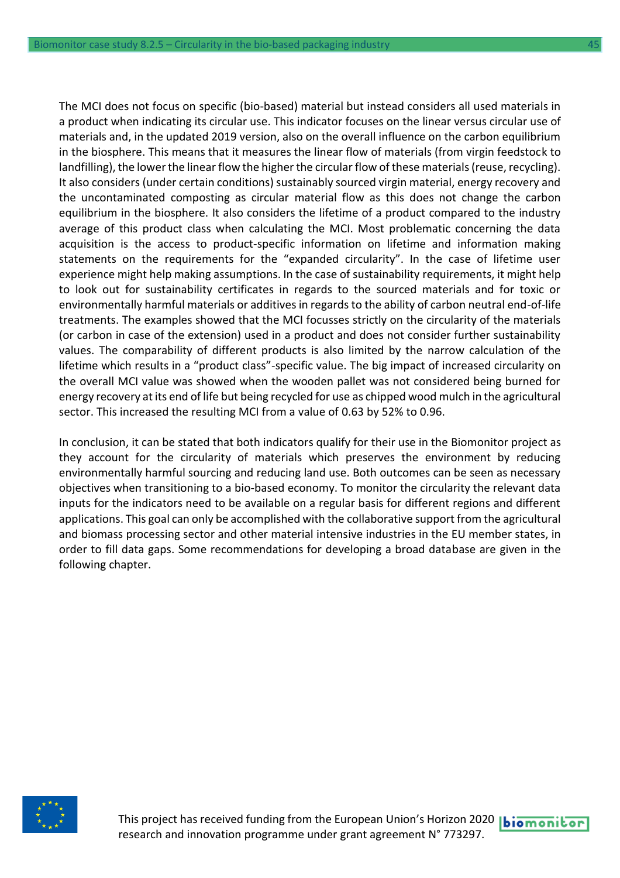The MCI does not focus on specific (bio-based) material but instead considers all used materials in a product when indicating its circular use. This indicator focuses on the linear versus circular use of materials and, in the updated 2019 version, also on the overall influence on the carbon equilibrium in the biosphere. This means that it measures the linear flow of materials (from virgin feedstock to landfilling), the lower the linear flow the higher the circular flow of these materials (reuse, recycling). It also considers (under certain conditions) sustainably sourced virgin material, energy recovery and the uncontaminated composting as circular material flow as this does not change the carbon equilibrium in the biosphere. It also considers the lifetime of a product compared to the industry average of this product class when calculating the MCI. Most problematic concerning the data acquisition is the access to product-specific information on lifetime and information making statements on the requirements for the "expanded circularity". In the case of lifetime user experience might help making assumptions. In the case of sustainability requirements, it might help to look out for sustainability certificates in regards to the sourced materials and for toxic or environmentally harmful materials or additives in regards to the ability of carbon neutral end-of-life treatments. The examples showed that the MCI focusses strictly on the circularity of the materials (or carbon in case of the extension) used in a product and does not consider further sustainability values. The comparability of different products is also limited by the narrow calculation of the lifetime which results in a "product class"-specific value. The big impact of increased circularity on the overall MCI value was showed when the wooden pallet was not considered being burned for energy recovery at its end of life but being recycled for use as chipped wood mulch in the agricultural sector. This increased the resulting MCI from a value of 0.63 by 52% to 0.96.

In conclusion, it can be stated that both indicators qualify for their use in the Biomonitor project as they account for the circularity of materials which preserves the environment by reducing environmentally harmful sourcing and reducing land use. Both outcomes can be seen as necessary objectives when transitioning to a bio-based economy. To monitor the circularity the relevant data inputs for the indicators need to be available on a regular basis for different regions and different applications. This goal can only be accomplished with the collaborative support from the agricultural and biomass processing sector and other material intensive industries in the EU member states, in order to fill data gaps. Some recommendations for developing a broad database are given in the following chapter.

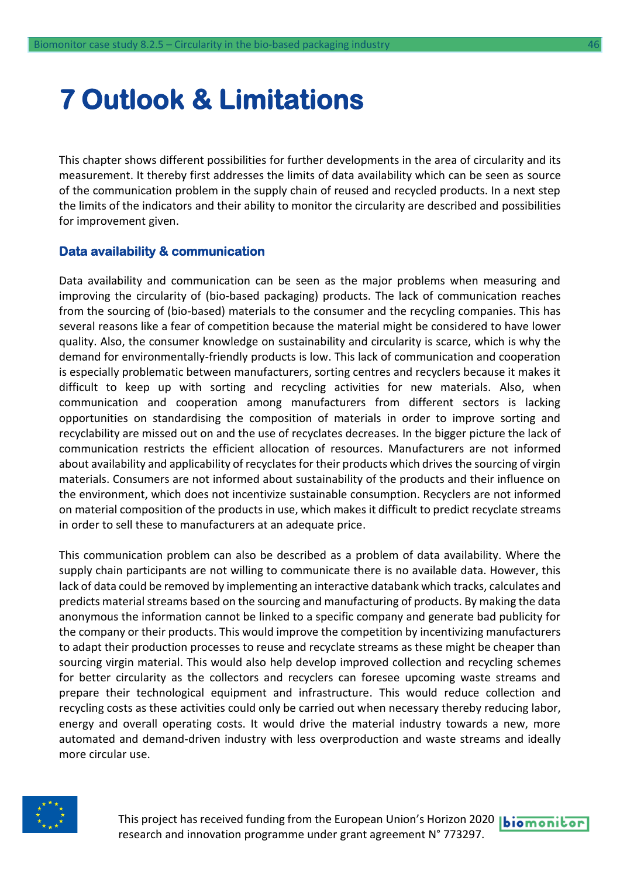## <span id="page-45-0"></span>**7 Outlook & Limitations**

This chapter shows different possibilities for further developments in the area of circularity and its measurement. It thereby first addresses the limits of data availability which can be seen as source of the communication problem in the supply chain of reused and recycled products. In a next step the limits of the indicators and their ability to monitor the circularity are described and possibilities for improvement given.

#### **Data availability & communication**

Data availability and communication can be seen as the major problems when measuring and improving the circularity of (bio-based packaging) products. The lack of communication reaches from the sourcing of (bio-based) materials to the consumer and the recycling companies. This has several reasons like a fear of competition because the material might be considered to have lower quality. Also, the consumer knowledge on sustainability and circularity is scarce, which is why the demand for environmentally-friendly products is low. This lack of communication and cooperation is especially problematic between manufacturers, sorting centres and recyclers because it makes it difficult to keep up with sorting and recycling activities for new materials. Also, when communication and cooperation among manufacturers from different sectors is lacking opportunities on standardising the composition of materials in order to improve sorting and recyclability are missed out on and the use of recyclates decreases. In the bigger picture the lack of communication restricts the efficient allocation of resources. Manufacturers are not informed about availability and applicability of recyclates for their products which drives the sourcing of virgin materials. Consumers are not informed about sustainability of the products and their influence on the environment, which does not incentivize sustainable consumption. Recyclers are not informed on material composition of the products in use, which makes it difficult to predict recyclate streams in order to sell these to manufacturers at an adequate price.

This communication problem can also be described as a problem of data availability. Where the supply chain participants are not willing to communicate there is no available data. However, this lack of data could be removed by implementing an interactive databank which tracks, calculates and predicts material streams based on the sourcing and manufacturing of products. By making the data anonymous the information cannot be linked to a specific company and generate bad publicity for the company or their products. This would improve the competition by incentivizing manufacturers to adapt their production processes to reuse and recyclate streams as these might be cheaper than sourcing virgin material. This would also help develop improved collection and recycling schemes for better circularity as the collectors and recyclers can foresee upcoming waste streams and prepare their technological equipment and infrastructure. This would reduce collection and recycling costs as these activities could only be carried out when necessary thereby reducing labor, energy and overall operating costs. It would drive the material industry towards a new, more automated and demand-driven industry with less overproduction and waste streams and ideally more circular use.



This project has received funding from the European Union's Horizon 2020 **biomonitor** research and innovation programme under grant agreement N° 773297.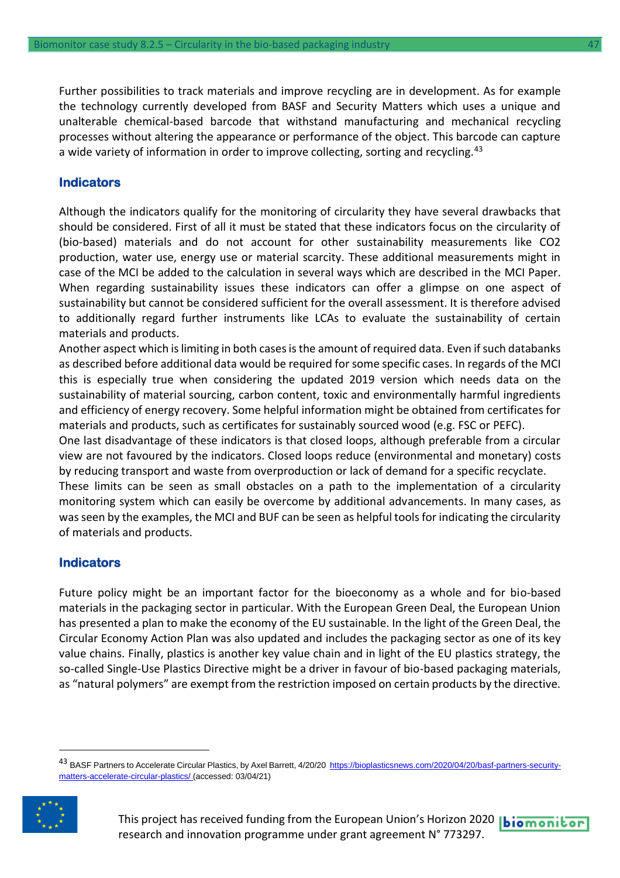Further possibilities to track materials and improve recycling are in development. As for example the technology currently developed from BASF and Security Matters which uses a unique and unalterable chemical-based barcode that withstand manufacturing and mechanical recycling processes without altering the appearance or performance of the object. This barcode can capture a wide variety of information in order to improve collecting, sorting and recycling.<sup>43</sup>

#### **Indicators**

Although the indicators qualify for the monitoring of circularity they have several drawbacks that should be considered. First of all it must be stated that these indicators focus on the circularity of (bio-based) materials and do not account for other sustainability measurements like CO2 production, water use, energy use or material scarcity. These additional measurements might in case of the MCI be added to the calculation in several ways which are described in the MCI Paper. When regarding sustainability issues these indicators can offer a glimpse on one aspect of sustainability but cannot be considered sufficient for the overall assessment. It is therefore advised to additionally regard further instruments like LCAs to evaluate the sustainability of certain materials and products.

Another aspect which is limiting in both cases is the amount of required data. Even if such databanks as described before additional data would be required for some specific cases. In regards of the MCI this is especially true when considering the updated 2019 version which needs data on the sustainability of material sourcing, carbon content, toxic and environmentally harmful ingredients and efficiency of energy recovery. Some helpful information might be obtained from certificates for materials and products, such as certificates for sustainably sourced wood (e.g. FSC or PEFC).

One last disadvantage of these indicators is that closed loops, although preferable from a circular view are not favoured by the indicators. Closed loops reduce (environmental and monetary) costs by reducing transport and waste from overproduction or lack of demand for a specific recyclate.

These limits can be seen as small obstacles on a path to the implementation of a circularity monitoring system which can easily be overcome by additional advancements. In many cases, as was seen by the examples, the MCI and BUF can be seen as helpful tools for indicating the circularity of materials and products.

#### **Indicators**

Future policy might be an important factor for the bioeconomy as a whole and for bio-based materials in the packaging sector in particular. With the European Green Deal, the European Union has presented a plan to make the economy of the EU sustainable. In the light of the Green Deal, the Circular Economy Action Plan was also updated and includes the packaging sector as one of its key value chains. Finally, plastics is another key value chain and in light of the EU plastics strategy, the so-called Single-Use Plastics Directive might be a driver in favour of bio-based packaging materials, as "natural polymers" are exempt from the restriction imposed on certain products by the directive.

<sup>&</sup>lt;sup>43</sup> BASF Partners to Accelerate Circular Plastics, by Axel Barrett, 4/20/20 [https://bioplasticsnews.com/2020/04/20/basf-partners-security](https://bioplasticsnews.com/2020/04/20/basf-partners-security-matters-accelerate-circular-plastics/)[matters-accelerate-circular-plastics/](https://bioplasticsnews.com/2020/04/20/basf-partners-security-matters-accelerate-circular-plastics/) (accessed: 03/04/21)